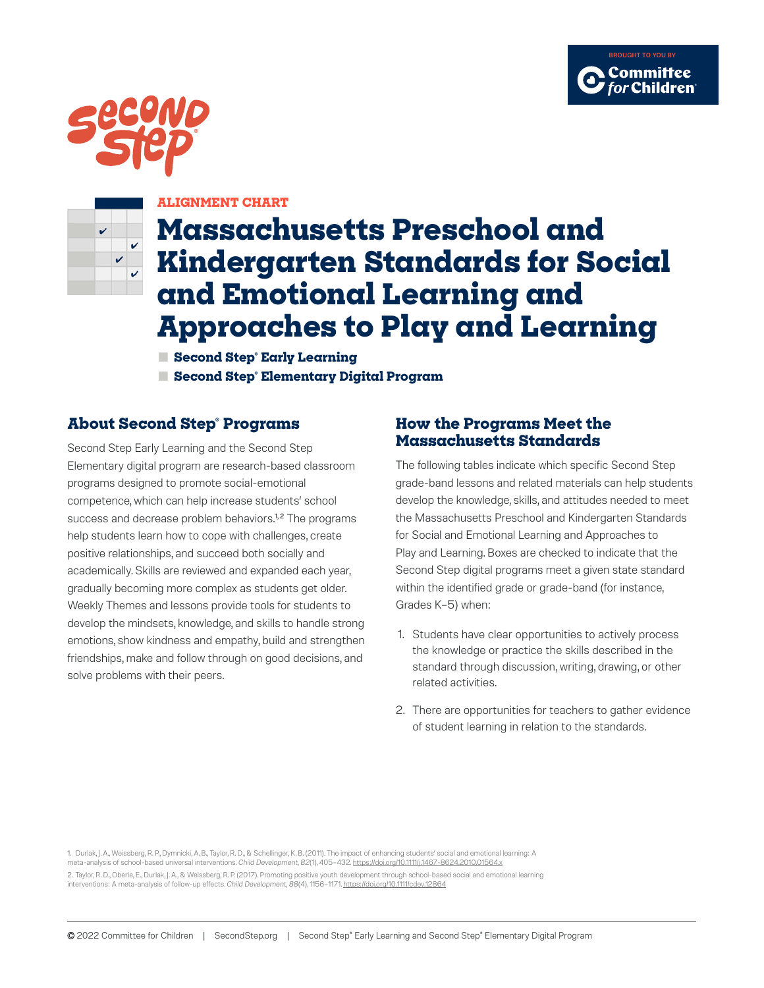





### **ALIGNMENT CHART**

# **Massachusetts Preschool and Kindergarten Standards for Social and Emotional Learning and Approaches to Play and Learning**

**■ Second Step® Early Learning ■ Second Step® Elementary Digital Program**

## **About Second Step® Programs**

Second Step Early Learning and the Second Step Elementary digital program are research-based classroom programs designed to promote social-emotional competence, which can help increase students' school success and decrease problem behaviors.<sup>1,2</sup> The programs help students learn how to cope with challenges, create positive relationships, and succeed both socially and academically. Skills are reviewed and expanded each year, gradually becoming more complex as students get older. Weekly Themes and lessons provide tools for students to develop the mindsets, knowledge, and skills to handle strong emotions, show kindness and empathy, build and strengthen friendships, make and follow through on good decisions, and solve problems with their peers.

### **How the Programs Meet the Massachusetts Standards**

The following tables indicate which specific Second Step grade-band lessons and related materials can help students develop the knowledge, skills, and attitudes needed to meet the Massachusetts Preschool and Kindergarten Standards for Social and Emotional Learning and Approaches to Play and Learning. Boxes are checked to indicate that the Second Step digital programs meet a given state standard within the identified grade or grade-band (for instance, Grades K–5) when:

- 1. Students have clear opportunities to actively process the knowledge or practice the skills described in the standard through discussion, writing, drawing, or other related activities.
- 2. There are opportunities for teachers to gather evidence of student learning in relation to the standards.

1. Durlak, J. A., Weissberg, R. P., Dymnicki, A. B., Taylor, R. D., & Schellinger, K. B. (2011). The impact of enhancing students' social and emotional learning: A meta-analysis of school-based universal interventions. *Child Development, 82*(1), 405–432. <https://doi.org/10.1111/j.1467-8624.2010.01564.x> 2. Taylor, R. D., Oberle, E., Durlak, J. A., & Weissberg, R. P. (2017). Promoting positive youth development through school-based social and emotional learning interventions: A meta-analysis of follow-up effects. *Child Development, 88*(4), 1156–1171.<https://doi.org/10.1111/cdev.12864>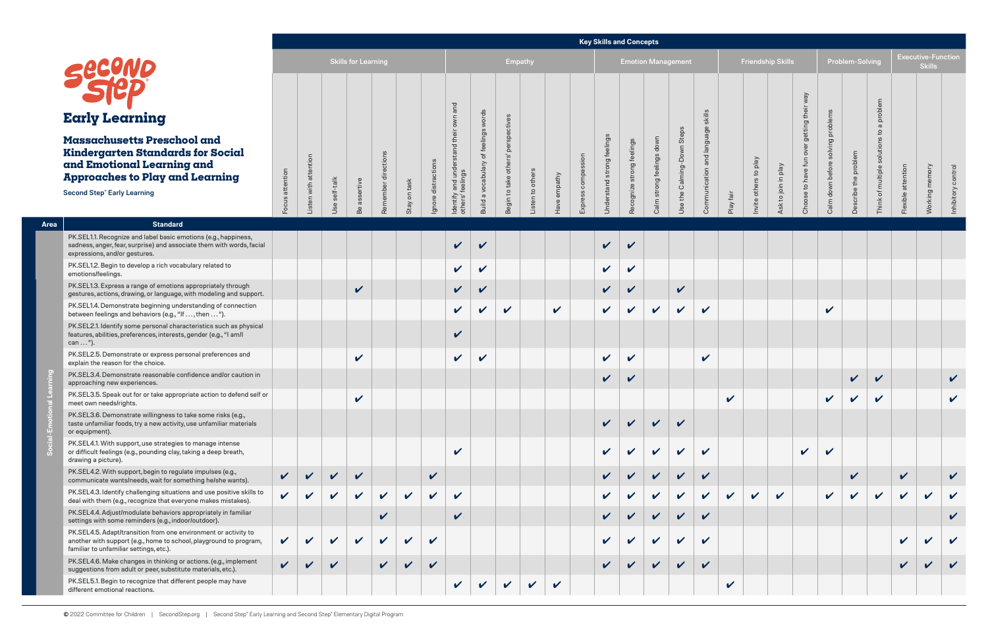# **Early Learning**

## **Massachusetts Preschool and Kindergarten Standards for Social and Emotional Learning and Approaches to Play and Learning**

#### **Key Skills and Concepts**

|                                                                                                                                                                                  |                 |             |           |                            |                |              |              |                                    |                                |                                       |                  |              |             |                            | <b>Rey Skills and Concepts</b> |                            |                            |               |           |                          |                            |                |                                   |                            |                            |                    |                                            |                            |
|----------------------------------------------------------------------------------------------------------------------------------------------------------------------------------|-----------------|-------------|-----------|----------------------------|----------------|--------------|--------------|------------------------------------|--------------------------------|---------------------------------------|------------------|--------------|-------------|----------------------------|--------------------------------|----------------------------|----------------------------|---------------|-----------|--------------------------|----------------------------|----------------|-----------------------------------|----------------------------|----------------------------|--------------------|--------------------------------------------|----------------------------|
|                                                                                                                                                                                  |                 |             |           | <b>Skills for Learning</b> |                |              |              |                                    |                                | Empathy                               |                  |              |             |                            |                                | <b>Emotion Management</b>  |                            |               |           | <b>Friendship Skills</b> |                            |                |                                   | Problem-Solving            |                            |                    | <b>Executive-Function</b><br><b>Skills</b> |                            |
| secono                                                                                                                                                                           |                 |             |           |                            |                |              |              | and                                |                                |                                       |                  |              |             |                            |                                |                            |                            |               |           |                          |                            | <b>Aem</b>     |                                   |                            |                            |                    |                                            |                            |
| Carly Learning                                                                                                                                                                   |                 |             |           |                            |                |              |              |                                    | words                          |                                       |                  |              |             |                            |                                |                            |                            | skills        |           |                          |                            |                |                                   |                            | a problem                  |                    |                                            |                            |
| 1assachusetts Preschool and<br><b>indergarten Standards for Social</b><br><b>Ind Emotional Learning and</b><br><b>ipproaches to Play and Learning</b>                            |                 | attention   | self-talk |                            | ctions<br>dire | on task      | stractions   | $\overline{\texttt{C}}$<br>and uno | feelings<br>Build a vocabulary | perspectives<br>Begin to take others' |                  |              | compassion  | feelings<br>strong         | strong feelings                | strong feelings down       | the Calming-Down Steps     | and language  |           | nvite others to play     | to join in play            |                | Calm down before solving problems | Describe the problem       | Think of multiple solution | Flexible attention | Working memory                             | Inhibitory control         |
| econd Step® Early Learning                                                                                                                                                       | Focus attention | Listen with | Use       | assertive<br>Be            | Remember       | Stay         | ㅎ<br>Ignore  | Identify<br>others' f              |                                |                                       | Listen to others | Have empathy | SS<br>Expre | Understand                 | Recognize                      | Calm                       | Use                        | Communication | Play fair |                          | $\overline{\text{sk}}$     | Choose to have |                                   |                            |                            |                    |                                            |                            |
| <b>Standard</b>                                                                                                                                                                  |                 |             |           |                            |                |              |              |                                    |                                |                                       |                  |              |             |                            |                                |                            |                            |               |           |                          |                            |                |                                   |                            |                            |                    |                                            |                            |
| PK.SEL1.1. Recognize and label basic emotions (e.g., happiness,<br>sadness, anger, fear, surprise) and associate them with words, facial<br>expressions, and/or gestures.        |                 |             |           |                            |                |              |              | $\checkmark$                       | $\checkmark$                   |                                       |                  |              |             | $\sqrt{2}$                 | $\checkmark$                   |                            |                            |               |           |                          |                            |                |                                   |                            |                            |                    |                                            |                            |
| PK.SEL1.2. Begin to develop a rich vocabulary related to<br>emotions/feelings.                                                                                                   |                 |             |           |                            |                |              |              | $\checkmark$                       | $\checkmark$                   |                                       |                  |              |             | $\checkmark$               | V                              |                            |                            |               |           |                          |                            |                |                                   |                            |                            |                    |                                            |                            |
| PK.SEL1.3. Express a range of emotions appropriately through<br>gestures, actions, drawing, or language, with modeling and support.                                              |                 |             |           | V                          |                |              |              | $\checkmark$                       | $\checkmark$                   |                                       |                  |              |             | V                          | V                              |                            | $\checkmark$               |               |           |                          |                            |                |                                   |                            |                            |                    |                                            |                            |
| PK.SEL1.4. Demonstrate beginning understanding of connection<br>between feelings and behaviors (e.g., "If $,$ then $$ ").                                                        |                 |             |           |                            |                |              |              | $\checkmark$                       | $\checkmark$                   | $\checkmark$                          |                  | $\checkmark$ |             | $\mathbf{v}$               | V                              | $\checkmark$               | $\boldsymbol{\mathcal{U}}$ | $\mathbf v$   |           |                          |                            |                | $\checkmark$                      |                            |                            |                    |                                            |                            |
| PK.SEL2.1. Identify some personal characteristics such as physical<br>features, abilities, preferences, interests, gender (e.g., "I am/l<br>can ").                              |                 |             |           |                            |                |              |              | $\checkmark$                       |                                |                                       |                  |              |             |                            |                                |                            |                            |               |           |                          |                            |                |                                   |                            |                            |                    |                                            |                            |
| PK.SEL2.5. Demonstrate or express personal preferences and<br>explain the reason for the choice.                                                                                 |                 |             |           | V                          |                |              |              | $\checkmark$                       | $\checkmark$                   |                                       |                  |              |             | $\checkmark$               | V                              |                            |                            | $\mathbf v$   |           |                          |                            |                |                                   |                            |                            |                    |                                            |                            |
| PK.SEL3.4. Demonstrate reasonable confidence and/or caution in<br>approaching new experiences.                                                                                   |                 |             |           |                            |                |              |              |                                    |                                |                                       |                  |              |             | $\mathbf{v}$               | V                              |                            |                            |               |           |                          |                            |                |                                   | $\checkmark$               | $\boldsymbol{\mathcal{U}}$ |                    |                                            | $\checkmark$               |
| PK.SEL3.5. Speak out for or take appropriate action to defend self or<br>meet own needs/rights.                                                                                  |                 |             |           | V                          |                |              |              |                                    |                                |                                       |                  |              |             |                            |                                |                            |                            |               | V         |                          |                            |                | $\checkmark$                      | $\boldsymbol{\mathscr{L}}$ | V                          |                    |                                            | $\checkmark$               |
| PK.SEL3.6. Demonstrate willingness to take some risks (e.g.,<br>taste unfamiliar foods, try a new activity, use unfamiliar materials<br>or equipment).                           |                 |             |           |                            |                |              |              |                                    |                                |                                       |                  |              |             | $\checkmark$               |                                | V                          |                            |               |           |                          |                            |                |                                   |                            |                            |                    |                                            |                            |
| PK.SEL4.1. With support, use strategies to manage intense<br>or difficult feelings (e.g., pounding clay, taking a deep breath,<br>drawing a picture).                            |                 |             |           |                            |                |              |              | $\checkmark$                       |                                |                                       |                  |              |             | $\boldsymbol{\mathcal{U}}$ | V                              | $\boldsymbol{\mathcal{U}}$ | $\mathbf{v}$               | V             |           |                          |                            | $\mathbf v$    | $\boldsymbol{\nu}$                |                            |                            |                    |                                            |                            |
| PK.SEL4.2. With support, begin to regulate impulses (e.g.,<br>communicate wants/needs, wait for something he/she wants).                                                         | $\checkmark$    |             | V         | V                          |                |              | $\checkmark$ |                                    |                                |                                       |                  |              |             |                            |                                | $\boldsymbol{\mathcal{U}}$ | $\boldsymbol{\mathcal{U}}$ | $\checkmark$  |           |                          |                            |                |                                   | V                          |                            | $\checkmark$       |                                            | $\boldsymbol{\mathcal{U}}$ |
| PK.SEL4.3. Identify challenging situations and use positive skills to<br>deal with them (e.g., recognize that everyone makes mistakes).                                          | V               |             | V         | V                          | $\checkmark$   | $\checkmark$ | $\checkmark$ | $\checkmark$                       |                                |                                       |                  |              |             | V                          |                                | V                          | V                          | V             | V         | V                        | $\boldsymbol{\mathcal{U}}$ |                | V                                 |                            | V                          | V                  | V                                          |                            |
| PK.SEL4.4. Adjust/modulate behaviors appropriately in familiar<br>settings with some reminders (e.g., indoor/outdoor).                                                           |                 |             |           |                            | V              |              |              | $\checkmark$                       |                                |                                       |                  |              |             |                            |                                |                            | V                          | $\checkmark$  |           |                          |                            |                |                                   |                            |                            |                    |                                            | V                          |
| PK.SEL4.5. Adapt/transition from one environment or activity to<br>another with support (e.g., home to school, playground to program,<br>familiar to unfamiliar settings, etc.). | V               |             | V         | V                          | $\checkmark$   | V            | $\checkmark$ |                                    |                                |                                       |                  |              |             |                            |                                |                            | V                          | $\checkmark$  |           |                          |                            |                |                                   |                            |                            | V                  |                                            |                            |
| PK.SEL4.6. Make changes in thinking or actions. (e.g., implement<br>suggestions from adult or peer, substitute materials, etc.).                                                 | V               |             | V         |                            | V              | $\checkmark$ | $\checkmark$ |                                    |                                |                                       |                  |              |             | V                          |                                | V                          | $\boldsymbol{\mathcal{U}}$ | $\checkmark$  |           |                          |                            |                |                                   |                            |                            | V                  |                                            |                            |
| PK.SEL5.1. Begin to recognize that different people may have<br>different emotional reactions.                                                                                   |                 |             |           |                            |                |              |              | $\checkmark$                       | V                              | $\checkmark$                          | $\checkmark$     | $\checkmark$ |             |                            |                                |                            |                            |               | V         |                          |                            |                |                                   |                            |                            |                    |                                            |                            |

Second Step<sup>®</sup> Early Learning

| Area | <b>Standard</b><br>PK.SEL1.1. Recognize and label basic emotions (e.g., happiness,                                                                                               |                            |   |   |                    |                            |                            |                            |                            |                            |            |                            |                            |                    |                    |                            |                            |   |   |                            |  |
|------|----------------------------------------------------------------------------------------------------------------------------------------------------------------------------------|----------------------------|---|---|--------------------|----------------------------|----------------------------|----------------------------|----------------------------|----------------------------|------------|----------------------------|----------------------------|--------------------|--------------------|----------------------------|----------------------------|---|---|----------------------------|--|
|      |                                                                                                                                                                                  |                            |   |   |                    |                            |                            |                            |                            |                            |            |                            |                            |                    |                    |                            |                            |   |   |                            |  |
|      | sadness, anger, fear, surprise) and associate them with words, facial<br>expressions, and/or gestures.                                                                           |                            |   |   |                    |                            |                            |                            |                            | $\boldsymbol{\mathcal{U}}$ |            |                            | $\boldsymbol{\mathcal{U}}$ | $\boldsymbol{\nu}$ |                    |                            |                            |   |   |                            |  |
|      | PK.SEL1.2. Begin to develop a rich vocabulary related to<br>emotions/feelings.                                                                                                   |                            |   |   |                    |                            |                            |                            |                            | $\boldsymbol{\mathcal{U}}$ |            |                            | V                          | $\boldsymbol{\nu}$ |                    |                            |                            |   |   |                            |  |
|      | PK.SEL1.3. Express a range of emotions appropriately through<br>gestures, actions, drawing, or language, with modeling and support.                                              |                            |   |   | $\boldsymbol{\nu}$ |                            |                            |                            |                            | $\boldsymbol{\nu}$         |            |                            |                            | $\boldsymbol{\nu}$ |                    | $\checkmark$               |                            |   |   |                            |  |
|      | PK.SEL1.4. Demonstrate beginning understanding of connection<br>between feelings and behaviors (e.g., "If , then ").                                                             |                            |   |   |                    |                            |                            |                            | $\checkmark$               | $\boldsymbol{\nu}$         | $\sqrt{2}$ | $\boldsymbol{\mathcal{U}}$ | V                          | $\checkmark$       | $\mathbf v$        | $\mathbf v$                | $\mathbf{v}$               |   |   |                            |  |
|      | PK.SEL2.1. Identify some personal characteristics such as physical<br>features, abilities, preferences, interests, gender (e.g., "I am/l<br>can ").                              |                            |   |   |                    |                            |                            |                            |                            |                            |            |                            |                            |                    |                    |                            |                            |   |   |                            |  |
|      | PK.SEL2.5. Demonstrate or express personal preferences and<br>explain the reason for the choice.                                                                                 |                            |   |   | $\boldsymbol{\nu}$ |                            |                            |                            |                            | $\boldsymbol{\mathcal{U}}$ |            |                            | V                          | $\boldsymbol{\nu}$ |                    |                            | $\boldsymbol{\mathcal{U}}$ |   |   |                            |  |
|      | PK.SEL3.4. Demonstrate reasonable confidence and/or caution in<br>approaching new experiences.                                                                                   |                            |   |   |                    |                            |                            |                            |                            |                            |            |                            |                            | $\boldsymbol{\nu}$ |                    |                            |                            |   |   |                            |  |
|      | PK.SEL3.5. Speak out for or take appropriate action to defend self or<br>meet own needs/rights.                                                                                  |                            |   |   | $\boldsymbol{\nu}$ |                            |                            |                            |                            |                            |            |                            |                            |                    |                    |                            |                            | V |   |                            |  |
|      | PK.SEL3.6. Demonstrate willingness to take some risks (e.g.,<br>taste unfamiliar foods, try a new activity, use unfamiliar materials<br>or equipment).                           |                            |   |   |                    |                            |                            |                            |                            |                            |            |                            | $\boldsymbol{\mathcal{U}}$ | ✔                  | $\boldsymbol{\nu}$ | $\boldsymbol{\nu}$         |                            |   |   |                            |  |
|      | PK.SEL4.1. With support, use strategies to manage intense<br>or difficult feelings (e.g., pounding clay, taking a deep breath,<br>drawing a picture).                            |                            |   |   |                    |                            |                            |                            | V                          |                            |            |                            |                            |                    |                    | $\boldsymbol{\nu}$         |                            |   |   |                            |  |
|      | PK.SEL4.2. With support, begin to regulate impulses (e.g.,<br>communicate wants/needs, wait for something he/she wants).                                                         |                            |   |   |                    |                            |                            | $\checkmark$               |                            |                            |            |                            |                            |                    |                    |                            |                            |   |   |                            |  |
|      | PK.SEL4.3. Identify challenging situations and use positive skills to<br>deal with them (e.g., recognize that everyone makes mistakes).                                          | $\boldsymbol{\mathcal{U}}$ | V | ✔ | $\sqrt{2}$         | $\boldsymbol{\mathcal{U}}$ | $\mathbf v$                | $\boldsymbol{\mathscr{L}}$ | $\boldsymbol{\mathcal{U}}$ |                            |            |                            |                            |                    | V                  | V                          | V                          | V | ✔ | $\boldsymbol{\mathcal{U}}$ |  |
|      | PK.SEL4.4. Adjust/modulate behaviors appropriately in familiar<br>settings with some reminders (e.g., indoor/outdoor).                                                           |                            |   |   |                    |                            |                            |                            | $\boldsymbol{\mathcal{U}}$ |                            |            |                            |                            |                    | V                  | $\boldsymbol{\nu}$         |                            |   |   |                            |  |
|      | PK.SEL4.5. Adapt/transition from one environment or activity to<br>another with support (e.g., home to school, playground to program,<br>familiar to unfamiliar settings, etc.). | $\mathbf{v}$               | V | ✔ | V                  | $\mathbf v$                | $\boldsymbol{\mathcal{U}}$ | $\boldsymbol{\nu}$         |                            |                            |            |                            |                            |                    |                    | $\boldsymbol{\mathcal{U}}$ |                            |   |   |                            |  |
|      | PK.SEL4.6. Make changes in thinking or actions. (e.g., implement<br>suggestions from adult or peer, substitute materials, etc.).                                                 |                            |   |   |                    |                            |                            |                            |                            |                            |            |                            |                            |                    |                    |                            |                            |   |   |                            |  |
|      | PK.SEL5.1. Begin to recognize that different people may have<br>different emotional reactions.                                                                                   |                            |   |   |                    |                            |                            |                            | V                          |                            |            | $\mathbf v$                |                            |                    |                    |                            |                            | V |   |                            |  |

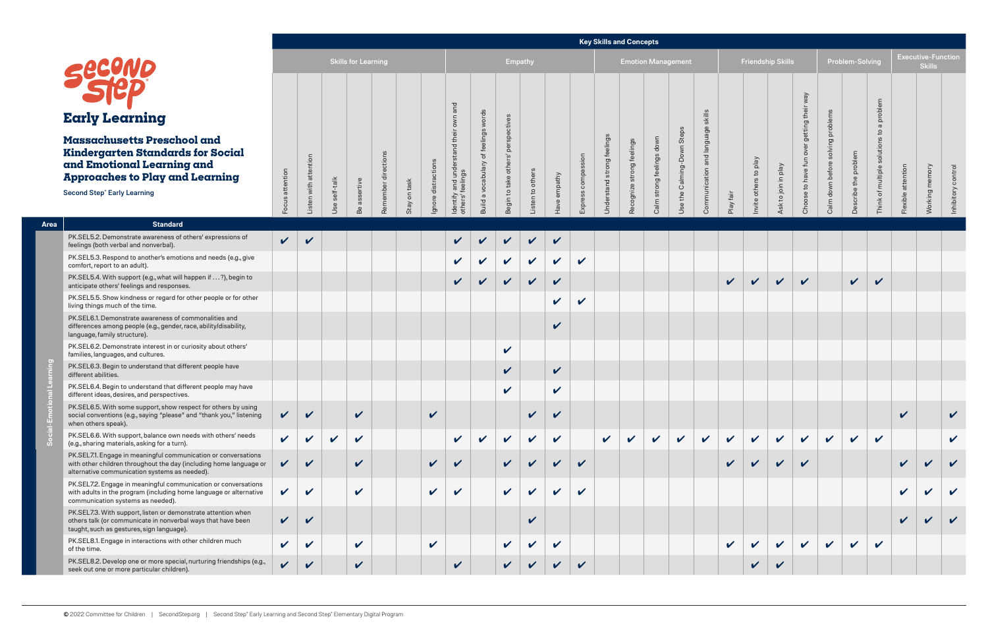|                   |                 |                       |               |                            |                     |              |                     |                                                           |                                      |                                    |                  |              |                    | <b>Key Skills and Concepts</b> |                           |                           |                            |                                   |              |                       |                          |                                           |                                   |                      |                                          |                    |                                            |                            |
|-------------------|-----------------|-----------------------|---------------|----------------------------|---------------------|--------------|---------------------|-----------------------------------------------------------|--------------------------------------|------------------------------------|------------------|--------------|--------------------|--------------------------------|---------------------------|---------------------------|----------------------------|-----------------------------------|--------------|-----------------------|--------------------------|-------------------------------------------|-----------------------------------|----------------------|------------------------------------------|--------------------|--------------------------------------------|----------------------------|
|                   |                 |                       |               | <b>Skills for Learning</b> |                     |              |                     |                                                           |                                      | Empathy                            |                  |              |                    |                                |                           | <b>Emotion Management</b> |                            |                                   |              |                       | <b>Friendship Skills</b> |                                           |                                   | Problem-Solving      |                                          |                    | <b>Executive-Function</b><br><b>Skills</b> |                            |
|                   | Focus attention | Listen with attention | Use self-talk | Be assertive               | Remember directions | Stay on task | Ignore distractions | ldentify and understand their own and<br>others' feelings | Build a vocabulary of feelings words | Begin to take others' perspectives | Listen to others | Have empathy | Express compassion | Understand strong feelings     | Recognize strong feelings | Calm strong feelings down | Use the Calming-Down Steps | Communication and language skills | Play fair    | Invite others to play | Ask to join in play      | Choose to have fun over getting their way | Calm down before solving problems | Describe the problem | Think of multiple solutions to a problem | Flexible attention | Working memory                             | Inhibitory control         |
|                   | $\checkmark$    | $\checkmark$          |               |                            |                     |              |                     | $\checkmark$                                              | $\checkmark$                         | $\checkmark$                       | $\checkmark$     | $\checkmark$ |                    |                                |                           |                           |                            |                                   |              |                       |                          |                                           |                                   |                      |                                          |                    |                                            |                            |
| ive               |                 |                       |               |                            |                     |              |                     | $\mathbf v$                                               | $\checkmark$                         | $\checkmark$                       | $\checkmark$     | $\checkmark$ | $\checkmark$       |                                |                           |                           |                            |                                   |              |                       |                          |                                           |                                   |                      |                                          |                    |                                            |                            |
| to                |                 |                       |               |                            |                     |              |                     | $\checkmark$                                              | $\checkmark$                         | $\checkmark$                       | $\checkmark$     | $\checkmark$ |                    |                                |                           |                           |                            |                                   | $\checkmark$ | $\checkmark$          | $\mathbf v$              | $\checkmark$                              |                                   | $\checkmark$         | $\checkmark$                             |                    |                                            |                            |
| ther              |                 |                       |               |                            |                     |              |                     |                                                           |                                      |                                    |                  | $\checkmark$ | $\checkmark$       |                                |                           |                           |                            |                                   |              |                       |                          |                                           |                                   |                      |                                          |                    |                                            |                            |
|                   |                 |                       |               |                            |                     |              |                     |                                                           |                                      |                                    |                  | $\checkmark$ |                    |                                |                           |                           |                            |                                   |              |                       |                          |                                           |                                   |                      |                                          |                    |                                            |                            |
|                   |                 |                       |               |                            |                     |              |                     |                                                           |                                      | $\checkmark$                       |                  |              |                    |                                |                           |                           |                            |                                   |              |                       |                          |                                           |                                   |                      |                                          |                    |                                            |                            |
|                   |                 |                       |               |                            |                     |              |                     |                                                           |                                      | $\checkmark$                       |                  | $\checkmark$ |                    |                                |                           |                           |                            |                                   |              |                       |                          |                                           |                                   |                      |                                          |                    |                                            |                            |
| ve                |                 |                       |               |                            |                     |              |                     |                                                           |                                      | $\checkmark$                       |                  | $\checkmark$ |                    |                                |                           |                           |                            |                                   |              |                       |                          |                                           |                                   |                      |                                          |                    |                                            |                            |
| sing<br>ening     | $\checkmark$    | V                     |               | $\checkmark$               |                     |              | $\mathbf v$         |                                                           |                                      |                                    | $\mathbf v$      | V            |                    |                                |                           |                           |                            |                                   |              |                       |                          |                                           |                                   |                      |                                          | V                  |                                            | V                          |
| eds               | $\checkmark$    | $\checkmark$          | $\checkmark$  | $\checkmark$               |                     |              |                     | $\checkmark$                                              | $\mathbf v$                          | $\checkmark$                       | $\checkmark$     | $\checkmark$ |                    | $\checkmark$                   | $\checkmark$              | $\checkmark$              | $\checkmark$               | $\checkmark$                      | $\checkmark$ | $\checkmark$          | $\checkmark$             | $\checkmark$                              | $\checkmark$                      | $\checkmark$         | $\boldsymbol{\mathcal{U}}$               |                    |                                            | $\checkmark$               |
| itions<br>uage or | $\checkmark$    | $\checkmark$          |               | $\checkmark$               |                     |              | $\checkmark$        | $\checkmark$                                              |                                      | $\checkmark$                       | $\mathbf v$      | $\checkmark$ | $\checkmark$       |                                |                           |                           |                            |                                   | $\checkmark$ | $\checkmark$          | $\mathbf v$              | $\checkmark$                              |                                   |                      |                                          | $\checkmark$       | $\checkmark$                               | V                          |
| ations<br>native  | $\checkmark$    | $\checkmark$          |               | $\boldsymbol{\mathcal{U}}$ |                     |              | $\checkmark$        | $\mathbf v$                                               |                                      | $\checkmark$                       | $\checkmark$     | $\checkmark$ | $\checkmark$       |                                |                           |                           |                            |                                   |              |                       |                          |                                           |                                   |                      |                                          | $\checkmark$       | V                                          | $\mathbf v$                |
| 'n<br>n.          | $\mathbf{v}$    | $\checkmark$          |               |                            |                     |              |                     |                                                           |                                      |                                    | $\checkmark$     |              |                    |                                |                           |                           |                            |                                   |              |                       |                          |                                           |                                   |                      |                                          | $\checkmark$       | $\mathbf{v}$                               | $\boldsymbol{\mathcal{U}}$ |
|                   | $\checkmark$    | $\checkmark$          |               | $\checkmark$               |                     |              | $\checkmark$        |                                                           |                                      | $\checkmark$                       | $\checkmark$     | $\checkmark$ |                    |                                |                           |                           |                            |                                   | $\checkmark$ | $\checkmark$          | $\checkmark$             | $\checkmark$                              | $\checkmark$                      | $\checkmark$         | $\boldsymbol{\mathcal{U}}$               |                    |                                            |                            |
| )s (e.g.,         | $\mathbf{v}$    | $\checkmark$          |               | $\checkmark$               |                     |              |                     | $\checkmark$                                              |                                      | $\checkmark$                       | $\mathbf{v}$     | V            | $\checkmark$       |                                |                           |                           |                            |                                   |              | $\checkmark$          | $\checkmark$             |                                           |                                   |                      |                                          |                    |                                            |                            |

|      |                                                                                                                                                                                       |                 |                            |               |                            |                     |              |                            |                                       |                            |                                       |                            |              |               |                            | <b>Rey Skills and Concepts</b> |                           |                            |                            |              |                            |                            |                |                  |                        |                             |                            |                                            |                            |
|------|---------------------------------------------------------------------------------------------------------------------------------------------------------------------------------------|-----------------|----------------------------|---------------|----------------------------|---------------------|--------------|----------------------------|---------------------------------------|----------------------------|---------------------------------------|----------------------------|--------------|---------------|----------------------------|--------------------------------|---------------------------|----------------------------|----------------------------|--------------|----------------------------|----------------------------|----------------|------------------|------------------------|-----------------------------|----------------------------|--------------------------------------------|----------------------------|
|      |                                                                                                                                                                                       |                 |                            |               | <b>Skills for Learning</b> |                     |              |                            |                                       |                            | <b>Empathy</b>                        |                            |              |               |                            | <b>Emotion Management</b>      |                           |                            |                            |              | <b>Friendship Skills</b>   |                            |                |                  | <b>Problem-Solving</b> |                             |                            | <b>Executive-Function</b><br><b>Skills</b> |                            |
|      |                                                                                                                                                                                       |                 |                            |               |                            |                     |              |                            | and                                   |                            |                                       |                            |              |               |                            |                                |                           |                            |                            |              |                            |                            | Vew            |                  |                        |                             |                            |                                            |                            |
|      | <b>Early Learning</b>                                                                                                                                                                 |                 |                            |               |                            |                     |              |                            |                                       |                            |                                       |                            |              |               |                            |                                |                           |                            | skills                     |              |                            |                            | getting their  | problems         |                        | problem<br>$\sigma$         |                            |                                            |                            |
|      | <b>Massachusetts Preschool and</b><br><b>Kindergarten Standards for Social</b><br>and Emotional Learning and<br><b>Approaches to Play and Learning</b>                                |                 | Listen with attention      |               |                            | Remember directions |              | Ignore distractions        | 운<br>$\overline{\sigma}$<br>€         | of feelings words          | perspectives<br>Begin to take others' |                            |              | ssion         | Understand strong feelings | Recognize strong feelings      | Calm strong feelings down | Use the Calming-Down Steps | Communication and language |              | Invite others to play      |                            | over<br>fun    | solving          | Describe the problem   | $\mathbf{c}$<br>of multiple |                            |                                            | control                    |
|      | <b>Second Step® Early Learning</b>                                                                                                                                                    | Focus attention |                            | Use self-talk | Be assertive               |                     | Stay on task |                            | Identify and unde<br>others' feelings | Build a vocabulary         |                                       | Listen to others           | Have empathy | Express compa |                            |                                |                           |                            |                            | Play fair    |                            | Ask to join in play        | Choose to have | Calm down before |                        | Think                       | Flexible attention         | Working mem                                | Inhibitory                 |
| Area | <b>Standard</b>                                                                                                                                                                       |                 |                            |               |                            |                     |              |                            |                                       |                            |                                       |                            |              |               |                            |                                |                           |                            |                            |              |                            |                            |                |                  |                        |                             |                            |                                            |                            |
|      | PK.SEL5.2. Demonstrate awareness of others' expressions of<br>feelings (both verbal and nonverbal).                                                                                   | $\sqrt{2}$      | $\checkmark$               |               |                            |                     |              |                            | $\checkmark$                          |                            | $\checkmark$                          | $\checkmark$               | $\checkmark$ |               |                            |                                |                           |                            |                            |              |                            |                            |                |                  |                        |                             |                            |                                            |                            |
|      | PK.SEL5.3. Respond to another's emotions and needs (e.g., give<br>comfort, report to an adult).                                                                                       |                 |                            |               |                            |                     |              |                            | $\boldsymbol{\mathcal{U}}$            |                            | $\checkmark$                          | $\mathbf v$                | $\checkmark$ | $\checkmark$  |                            |                                |                           |                            |                            |              |                            |                            |                |                  |                        |                             |                            |                                            |                            |
|      | PK.SEL5.4. With support (e.g., what will happen if ?), begin to<br>anticipate others' feelings and responses.                                                                         |                 |                            |               |                            |                     |              |                            | $\sqrt{2}$                            | $\boldsymbol{\mathscr{L}}$ | $\checkmark$                          | $\sqrt{2}$                 | $\checkmark$ |               |                            |                                |                           |                            |                            | $\checkmark$ | $\checkmark$               | $\checkmark$               | $\checkmark$   |                  | $\checkmark$           | $\checkmark$                |                            |                                            |                            |
|      | PK.SEL5.5. Show kindness or regard for other people or for other<br>living things much of the time.                                                                                   |                 |                            |               |                            |                     |              |                            |                                       |                            |                                       |                            | $\checkmark$ | $\checkmark$  |                            |                                |                           |                            |                            |              |                            |                            |                |                  |                        |                             |                            |                                            |                            |
|      | PK.SEL6.1. Demonstrate awareness of commonalities and<br>differences among people (e.g., gender, race, ability/disability,<br>language, family structure).                            |                 |                            |               |                            |                     |              |                            |                                       |                            |                                       |                            | $\checkmark$ |               |                            |                                |                           |                            |                            |              |                            |                            |                |                  |                        |                             |                            |                                            |                            |
|      | PK.SEL6.2. Demonstrate interest in or curiosity about others'<br>families, languages, and cultures.                                                                                   |                 |                            |               |                            |                     |              |                            |                                       |                            | $\checkmark$                          |                            |              |               |                            |                                |                           |                            |                            |              |                            |                            |                |                  |                        |                             |                            |                                            |                            |
|      | PK.SEL6.3. Begin to understand that different people have<br>different abilities.                                                                                                     |                 |                            |               |                            |                     |              |                            |                                       |                            | $\checkmark$                          |                            | $\checkmark$ |               |                            |                                |                           |                            |                            |              |                            |                            |                |                  |                        |                             |                            |                                            |                            |
|      | PK.SEL6.4. Begin to understand that different people may have<br>different ideas, desires, and perspectives.                                                                          |                 |                            |               |                            |                     |              |                            |                                       |                            | $\checkmark$                          |                            | $\checkmark$ |               |                            |                                |                           |                            |                            |              |                            |                            |                |                  |                        |                             |                            |                                            |                            |
|      | PK.SEL6.5. With some support, show respect for others by using<br>social conventions (e.g., saying "please" and "thank you," listening<br>when others speak).                         | $\mathbf{v}$    | $\checkmark$               |               | $\checkmark$               |                     |              | $\checkmark$               |                                       |                            |                                       | $\checkmark$               | $\checkmark$ |               |                            |                                |                           |                            |                            |              |                            |                            |                |                  |                        |                             | $\checkmark$               |                                            | $\checkmark$               |
|      | PK.SEL6.6. With support, balance own needs with others' needs<br>(e.g., sharing materials, asking for a turn).                                                                        | $\sqrt{2}$      | $\boldsymbol{\mathcal{U}}$ | $\checkmark$  | $\checkmark$               |                     |              |                            | $\checkmark$                          | $\checkmark$               | $\checkmark$                          | V                          | $\checkmark$ |               | $\checkmark$               | $\checkmark$                   | $\checkmark$              | $\checkmark$               | $\checkmark$               | $\checkmark$ | $\checkmark$               | $\checkmark$               | $\checkmark$   | $\checkmark$     | $\checkmark$           | $\checkmark$                |                            |                                            | $\boldsymbol{\mathcal{U}}$ |
|      | PK.SEL7.1. Engage in meaningful communication or conversations<br>with other children throughout the day (including home language or<br>alternative communication systems as needed). | $\checkmark$    | $\checkmark$               |               | $\checkmark$               |                     |              | $\checkmark$               | $\checkmark$                          |                            | $\checkmark$                          | $\boldsymbol{\mathcal{U}}$ | V            | $\checkmark$  |                            |                                |                           |                            |                            | $\checkmark$ | $\checkmark$               | $\checkmark$               | $\checkmark$   |                  |                        |                             | $\boldsymbol{\mathcal{U}}$ |                                            |                            |
|      | PK.SEL7.2. Engage in meaningful communication or conversations<br>with adults in the program (including home language or alternative<br>communication systems as needed).             | $\checkmark$    | $\checkmark$               |               | $\checkmark$               |                     |              | $\boldsymbol{\mathcal{U}}$ | $\checkmark$                          |                            | $\mathbf v$                           | V                          | V            | $\checkmark$  |                            |                                |                           |                            |                            |              |                            |                            |                |                  |                        |                             | V                          |                                            |                            |
|      | PK.SEL7.3. With support, listen or demonstrate attention when<br>others talk (or communicate in nonverbal ways that have been<br>taught, such as gestures, sign language).            | $\mathbf{v}$    | $\checkmark$               |               |                            |                     |              |                            |                                       |                            |                                       | $\mathbf v$                |              |               |                            |                                |                           |                            |                            |              |                            |                            |                |                  |                        |                             |                            |                                            |                            |
|      | PK.SEL8.1. Engage in interactions with other children much<br>of the time.                                                                                                            | $\sqrt{2}$      | $\checkmark$               |               | $\checkmark$               |                     |              | $\checkmark$               |                                       |                            | $\checkmark$                          | $\mathbf{v}$               | $\mathbf v$  |               |                            |                                |                           |                            |                            | $\checkmark$ | $\boldsymbol{\mathcal{U}}$ | $\boldsymbol{\mathcal{U}}$ | V              | V                | $\checkmark$           | $\boldsymbol{\mathcal{U}}$  |                            |                                            |                            |
|      | PK.SEL8.2. Develop one or more special, nurturing friendships (e.g.,<br>seek out one or more particular children).                                                                    | $\mathbf{v}$    | $\checkmark$               |               | $\checkmark$               |                     |              |                            | $\mathbf v$                           |                            | $\checkmark$                          |                            | V            | $\checkmark$  |                            |                                |                           |                            |                            |              | $\checkmark$               | $\boldsymbol{\mathcal{U}}$ |                |                  |                        |                             |                            |                                            |                            |

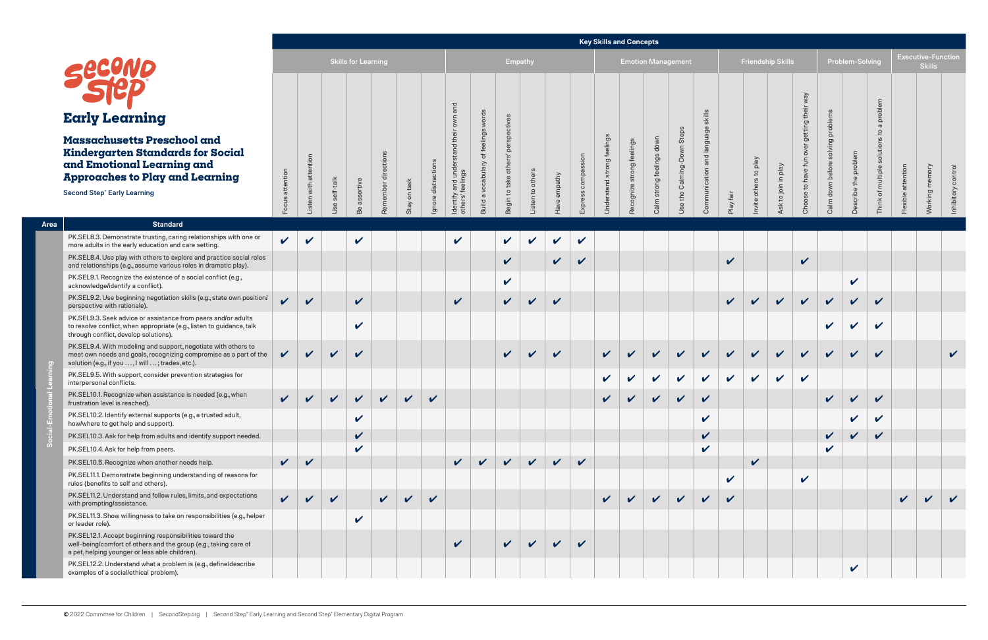|                            |                            |                         |                            |                     |                 |                     |                                                              |                                      |                                    |                  |              |                    |                            | noy onino and concepto    |                           |                            |                                   |
|----------------------------|----------------------------|-------------------------|----------------------------|---------------------|-----------------|---------------------|--------------------------------------------------------------|--------------------------------------|------------------------------------|------------------|--------------|--------------------|----------------------------|---------------------------|---------------------------|----------------------------|-----------------------------------|
|                            |                            |                         | <b>Skills for Learning</b> |                     |                 |                     |                                                              |                                      | <b>Empathy</b>                     |                  |              |                    |                            |                           | <b>Emotion Management</b> |                            |                                   |
| attention<br>Focus         | Listen with attention      | self-talk<br><b>Use</b> | assertive<br>Be            | Remember directions | on task<br>Stay | Ignore distractions | and understand their own and<br>others' feelings<br>Identify | Build a vocabulary of feelings words | Begin to take others' perspectives | Listen to others | Have empathy | Express compassion | Understand strong feelings | Recognize strong feelings | Calm strong feelings down | Use the Calming-Down Steps | Communication and language skills |
| $\boldsymbol{\mathcal{U}}$ | $\boldsymbol{\mathcal{U}}$ |                         | $\checkmark$               |                     |                 |                     | $\boldsymbol{\mathcal{U}}$                                   |                                      | $\boldsymbol{\mathcal{U}}$         | V                | $\checkmark$ | $\checkmark$       |                            |                           |                           |                            |                                   |

|                |                                                                                                                                                                                         |                    |                            |               |                            |                     |              |                     |                                      |                                      |                                 |                 |                            |               |                              | <b>Key Skills and Concepts</b> |                              |                               |                            |                            |                          |                            |                                |                            |                            |                            |              |                                            |             |
|----------------|-----------------------------------------------------------------------------------------------------------------------------------------------------------------------------------------|--------------------|----------------------------|---------------|----------------------------|---------------------|--------------|---------------------|--------------------------------------|--------------------------------------|---------------------------------|-----------------|----------------------------|---------------|------------------------------|--------------------------------|------------------------------|-------------------------------|----------------------------|----------------------------|--------------------------|----------------------------|--------------------------------|----------------------------|----------------------------|----------------------------|--------------|--------------------------------------------|-------------|
|                |                                                                                                                                                                                         |                    |                            |               | <b>Skills for Learning</b> |                     |              |                     |                                      |                                      | <b>Empathy</b>                  |                 |                            |               |                              | <b>Emotion Management</b>      |                              |                               |                            |                            | <b>Friendship Skills</b> |                            |                                |                            | Problem-Solving            |                            |              | <b>Executive-Function</b><br><b>Skills</b> |             |
|                |                                                                                                                                                                                         |                    |                            |               |                            |                     |              |                     | and                                  |                                      |                                 |                 |                            |               |                              |                                |                              |                               |                            |                            |                          |                            | Vew                            |                            |                            | problem                    |              |                                            |             |
|                | <b>Early Learning</b>                                                                                                                                                                   |                    |                            |               |                            |                     |              |                     |                                      |                                      |                                 |                 |                            |               |                              |                                |                              |                               | skills                     |                            |                          |                            | getting their                  | problems                   |                            | $\sigma$                   |              |                                            |             |
|                | Massachusetts Preschool and<br><b>Kindergarten Standards for Social</b><br>and Emotional Learning and<br><b>Approaches to Play and Learning</b>                                         |                    | with attention             |               |                            | Remember directions |              |                     |                                      | feelings<br>$\sigma$<br>a vocabulary | perspe<br>Begin to take others' |                 | empathy                    | sion          | ngs<br>Understand strong fee | Recognize strong feelings      | down<br>Calm strong feelings | Steps<br>Use the Calming-Down | and language<br>cation     |                            | yeld<br>$\mathbf{S}$     | yeld                       | $\overline{\delta}$<br>to have | solving<br>before          | the problem                | $\mathbf{S}$<br>of multipl |              |                                            | control     |
|                | <b>Second Step® Early Learning</b>                                                                                                                                                      | Focus attention    | isten                      | Use self-talk | assertive<br>Be            |                     | Stay on task | Ignore distractions | Identify and und<br>others' feelings | <b>Build</b>                         |                                 | isten to others | lave                       | Express compa |                              |                                |                              |                               | Communi                    | Play fair                  | other<br>Invite          | to join in<br>Ask          | $\circ$<br>Cho                 | Calm down                  | Describe                   | Think                      | Flexible     | <b>Working</b>                             | Inhibitory  |
| Area           | <b>Standard</b>                                                                                                                                                                         |                    |                            |               |                            |                     |              |                     |                                      |                                      |                                 |                 |                            |               |                              |                                |                              |                               |                            |                            |                          |                            |                                |                            |                            |                            |              |                                            |             |
|                | PK.SEL8.3. Demonstrate trusting, caring relationships with one or<br>more adults in the early education and care setting.                                                               | $\checkmark$       | $\boldsymbol{\mathcal{U}}$ |               | $\mathbf v$                |                     |              |                     | $\checkmark$                         |                                      | $\checkmark$                    | $\checkmark$    | $\boldsymbol{\mathcal{U}}$ | $\checkmark$  |                              |                                |                              |                               |                            |                            |                          |                            |                                |                            |                            |                            |              |                                            |             |
|                | PK.SEL8.4. Use play with others to explore and practice social roles<br>and relationships (e.g., assume various roles in dramatic play).                                                |                    |                            |               |                            |                     |              |                     |                                      |                                      | $\checkmark$                    |                 | $\checkmark$               | $\checkmark$  |                              |                                |                              |                               |                            | $\boldsymbol{\mathcal{U}}$ |                          |                            | $\checkmark$                   |                            |                            |                            |              |                                            |             |
|                | PK.SEL9.1. Recognize the existence of a social conflict (e.g.,<br>acknowledge/identify a conflict).                                                                                     |                    |                            |               |                            |                     |              |                     |                                      |                                      | $\checkmark$                    |                 |                            |               |                              |                                |                              |                               |                            |                            |                          |                            |                                |                            | $\checkmark$               |                            |              |                                            |             |
|                | PK.SEL9.2. Use beginning negotiation skills (e.g., state own position/<br>perspective with rationale).                                                                                  | $\boldsymbol{\nu}$ | $\checkmark$               |               | $\checkmark$               |                     |              |                     | $\checkmark$                         |                                      | $\checkmark$                    | $\mathbf{v}$    | $\mathbf v$                |               |                              |                                |                              |                               |                            | $\mathbf v$                | $\boldsymbol{\nu}$       | $\boldsymbol{\mathcal{U}}$ | $\mathbf v$                    | $\checkmark$               | $\checkmark$               | $\mathbf{v}$               |              |                                            |             |
|                | PK.SEL9.3. Seek advice or assistance from peers and/or adults<br>to resolve conflict, when appropriate (e.g., listen to guidance, talk<br>through conflict, develop solutions).         |                    |                            |               | $\boldsymbol{\mathcal{U}}$ |                     |              |                     |                                      |                                      |                                 |                 |                            |               |                              |                                |                              |                               |                            |                            |                          |                            |                                | $\mathbf{v}$               | $\boldsymbol{\mathcal{U}}$ | $\boldsymbol{\nu}$         |              |                                            |             |
| $\overline{c}$ | PK.SEL9.4. With modeling and support, negotiate with others to<br>meet own needs and goals, recognizing compromise as a part of the<br>solution (e.g., if you , I will ; trades, etc.). | $\checkmark$       | $\checkmark$               | $\checkmark$  | $\checkmark$               |                     |              |                     |                                      |                                      | $\mathbf{v}$                    | $\checkmark$    | $\checkmark$               |               | $\checkmark$                 | $\boldsymbol{\nu}$             | V                            | $\boldsymbol{\mathcal{U}}$    | $\boldsymbol{\mathcal{U}}$ | $\boldsymbol{\mathcal{U}}$ | $\mathbf{v}$             | $\mathbf v$                | $\mathbf v$                    | $\boldsymbol{\mathcal{U}}$ | $\boldsymbol{\mathcal{U}}$ | $\boldsymbol{\mathcal{U}}$ |              |                                            | $\mathbf v$ |
|                | PK.SEL9.5. With support, consider prevention strategies for<br>interpersonal conflicts.                                                                                                 |                    |                            |               |                            |                     |              |                     |                                      |                                      |                                 |                 |                            |               | $\checkmark$                 | $\boldsymbol{\mathcal{U}}$     | V                            | $\boldsymbol{\mathcal{U}}$    | $\checkmark$               | $\checkmark$               | $\checkmark$             | $\checkmark$               | $\boldsymbol{\mathcal{U}}$     |                            |                            |                            |              |                                            |             |
|                | PK.SEL10.1. Recognize when assistance is needed (e.g., when<br>frustration level is reached).                                                                                           | $\checkmark$       | $\checkmark$               | $\checkmark$  | $\checkmark$               | $\checkmark$        | $\checkmark$ | $\checkmark$        |                                      |                                      |                                 |                 |                            |               | V                            |                                |                              |                               | $\checkmark$               |                            |                          |                            |                                | $\checkmark$               | V                          | V                          |              |                                            |             |
|                | PK.SEL10.2. Identify external supports (e.g., a trusted adult,<br>how/where to get help and support).                                                                                   |                    |                            |               | $\checkmark$               |                     |              |                     |                                      |                                      |                                 |                 |                            |               |                              |                                |                              |                               | $\checkmark$               |                            |                          |                            |                                |                            | $\checkmark$               | $\boldsymbol{\mathcal{U}}$ |              |                                            |             |
|                | PK.SEL10.3. Ask for help from adults and identify support needed.                                                                                                                       |                    |                            |               | $\checkmark$               |                     |              |                     |                                      |                                      |                                 |                 |                            |               |                              |                                |                              |                               | $\checkmark$               |                            |                          |                            |                                | $\checkmark$               | $\checkmark$               | $\checkmark$               |              |                                            |             |
| ဖိ             | PK.SEL10.4. Ask for help from peers.                                                                                                                                                    |                    |                            |               | $\mathbf{v}$               |                     |              |                     |                                      |                                      |                                 |                 |                            |               |                              |                                |                              |                               | $\boldsymbol{\mathcal{U}}$ |                            |                          |                            |                                | V                          |                            |                            |              |                                            |             |
|                | PK.SEL10.5. Recognize when another needs help.                                                                                                                                          | $\sqrt{2}$         | $\checkmark$               |               |                            |                     |              |                     | $\checkmark$                         | $\mathbf{v}$                         | $\mathbf{v}$                    | $\mathbf{v}$    | $\checkmark$               | $\checkmark$  |                              |                                |                              |                               |                            |                            | $\checkmark$             |                            |                                |                            |                            |                            |              |                                            |             |
|                | PK.SEL11.1. Demonstrate beginning understanding of reasons for<br>rules (benefits to self and others).                                                                                  |                    |                            |               |                            |                     |              |                     |                                      |                                      |                                 |                 |                            |               |                              |                                |                              |                               |                            | $\checkmark$               |                          |                            | $\boldsymbol{\mathcal{U}}$     |                            |                            |                            |              |                                            |             |
|                | PK.SEL11.2. Understand and follow rules, limits, and expectations<br>with prompting/assistance.                                                                                         | $\sqrt{2}$         | $\checkmark$               | $\checkmark$  |                            | $\sqrt{2}$          | $\sqrt{2}$   | $\checkmark$        |                                      |                                      |                                 |                 |                            |               | $\checkmark$                 | $\vee$                         | $\vee$                       | $\vee$                        | $\checkmark$               | $\mathbf v$                |                          |                            |                                |                            |                            |                            | $\checkmark$ | $\vee$                                     |             |
|                | PK.SEL11.3. Show willingness to take on responsibilities (e.g., helper<br>or leader role).                                                                                              |                    |                            |               | $\checkmark$               |                     |              |                     |                                      |                                      |                                 |                 |                            |               |                              |                                |                              |                               |                            |                            |                          |                            |                                |                            |                            |                            |              |                                            |             |
|                | PK.SEL12.1. Accept beginning responsibilities toward the<br>well-being/comfort of others and the group (e.g., taking care of<br>a pet, helping younger or less able children).          |                    |                            |               |                            |                     |              |                     | $\sqrt{ }$                           |                                      |                                 | $\vee$ $\vee$   | $\vee$                     | $\checkmark$  |                              |                                |                              |                               |                            |                            |                          |                            |                                |                            |                            |                            |              |                                            |             |
|                | PK.SEL12.2. Understand what a problem is (e.g., define/describe<br>examples of a social/ethical problem).                                                                               |                    |                            |               |                            |                     |              |                     |                                      |                                      |                                 |                 |                            |               |                              |                                |                              |                               |                            |                            |                          |                            |                                |                            | $\checkmark$               |                            |              |                                            |             |

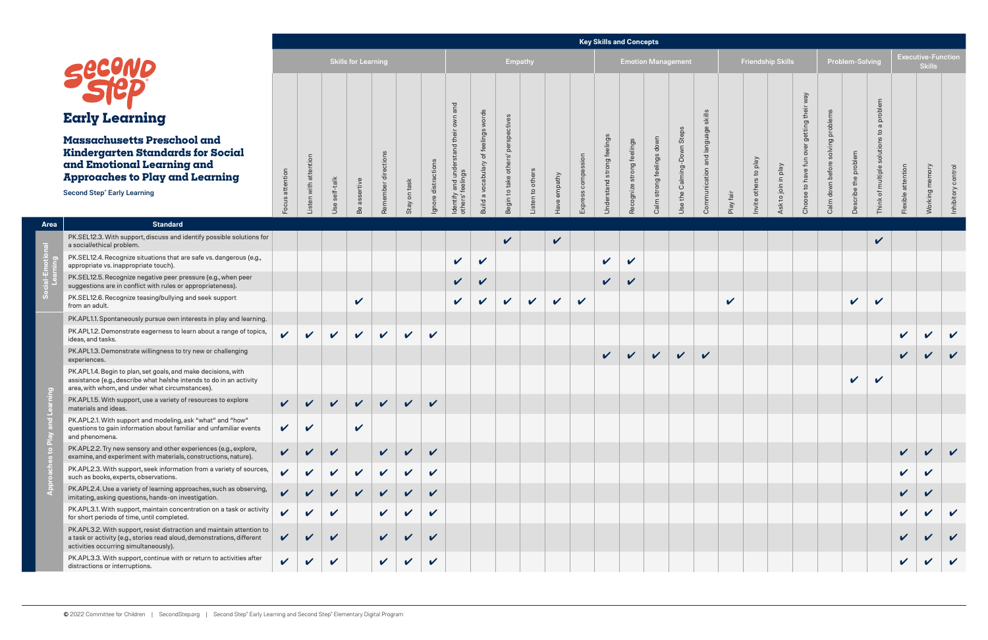| <b>Skills for Learning</b>                                                      |                                                            |                                                                                                                                            | <b>Empathy</b>                                         | <b>Emotion Management</b>                                                                                                                               |
|---------------------------------------------------------------------------------|------------------------------------------------------------|--------------------------------------------------------------------------------------------------------------------------------------------|--------------------------------------------------------|---------------------------------------------------------------------------------------------------------------------------------------------------------|
| Listen with attention<br>Focus attention<br>self-talk<br>assertive<br>Use<br>Be | Remember directions<br>Ignore distractions<br>Stay on task | Identify and understand their own and<br>Build a vocabulary of feelings words<br>Begin to take others' perspectives<br>feelings<br>others' | Express compassion<br>Listen to others<br>Have empathy | Communication and language skills<br>Use the Calming-Down Steps<br>Understand strong feelings<br>Calm strong feelings down<br>Recognize strong feelings |

|             |                                                                                                                                                                                           |                            |                        |              | <b>Skills for Learning</b> |                        |                            |                            |                                      |                                  | <b>Empathy</b> |                                                                                                      |                     |                             |                          | <b>Emotion Management</b>              |                            |                                |                 |              |                                                           | <b>Friendship Skills</b>       |                          |                       | <b>Problem-Solving</b> |                                                 |                    | <b>Executive-Function</b><br><b>Skills</b> |                       |
|-------------|-------------------------------------------------------------------------------------------------------------------------------------------------------------------------------------------|----------------------------|------------------------|--------------|----------------------------|------------------------|----------------------------|----------------------------|--------------------------------------|----------------------------------|----------------|------------------------------------------------------------------------------------------------------|---------------------|-----------------------------|--------------------------|----------------------------------------|----------------------------|--------------------------------|-----------------|--------------|-----------------------------------------------------------|--------------------------------|--------------------------|-----------------------|------------------------|-------------------------------------------------|--------------------|--------------------------------------------|-----------------------|
|             | <b>Early Learning</b>                                                                                                                                                                     |                            |                        |              |                            |                        |                            |                            | and                                  |                                  |                |                                                                                                      |                     |                             |                          |                                        |                            |                                | skills          |              |                                                           |                                | Vew<br>getting the       | g problem             |                        | problem                                         |                    |                                            |                       |
|             | <b>Massachusetts Preschool and</b><br>Kindergarten Standards for Social<br>and Emotional Learning and<br><b>Approaches to Play and Learning</b><br><b>Second Step® Early Learning</b>     | Focus attention            | ntion<br>with<br>isten | self-talk    | sertive                    | ctions<br>äř<br>Rememb | task<br>$\mathsf{S}$       | distra<br>$\mathbb O$      | Identify and und<br>others' feelings | of feeli<br>vocabula<br>$\varpi$ | to take        | to other<br>$\mathrel{\mathop{\rule{0pt}{0pt}}\nolimits\mathrel{\mathop{\rule{0pt}{0pt}}\nolimits}}$ | mpathy<br>$\, \Phi$ | $\overline{5}$<br>com<br>SS | strong<br>$\overline{C}$ | elings<br>$\sigma$<br>strong<br>ognize | down<br>$\sigma$<br>strong | Steps<br>ing-Down<br>the Calmi | genbi<br>d lang | fair         | yeld<br>$\mathtt{S}$<br>$\omega$<br>$\bar{\omega}$<br>oth | Veld<br>$\exists$<br>to join i | ₽<br>to have<br>$\Omega$ | solving<br>down befor | the problem<br>cribe   | oluti<br>multip<br>$\overleftrightarrow{\circ}$ | Flexible           | Working                                    | control<br>Inhibitory |
|             |                                                                                                                                                                                           |                            |                        | Jse          | Be                         |                        | Stay                       | Ignor                      |                                      | <b>Build</b>                     | Begin          |                                                                                                      | ŇБ                  | Expre                       | Jnde                     | Rec                                    | Calm                       | Use                            | Com             | Play         | nvite                                                     | Ask                            | <b>Cho</b>               | Calm                  |                        | Think                                           |                    |                                            |                       |
| <b>Area</b> | <b>Standard</b>                                                                                                                                                                           |                            |                        |              |                            |                        |                            |                            |                                      |                                  |                |                                                                                                      |                     |                             |                          |                                        |                            |                                |                 |              |                                                           |                                |                          |                       |                        |                                                 |                    |                                            |                       |
|             | PK.SEL12.3. With support, discuss and identify possible solutions for<br>a social/ethical problem.                                                                                        |                            |                        |              |                            |                        |                            |                            |                                      |                                  | $\checkmark$   |                                                                                                      | $\checkmark$        |                             |                          |                                        |                            |                                |                 |              |                                                           |                                |                          |                       |                        | $\boldsymbol{\mathcal{U}}$                      |                    |                                            |                       |
|             | PK.SEL12.4. Recognize situations that are safe vs. dangerous (e.g.,<br>appropriate vs. inappropriate touch).                                                                              |                            |                        |              |                            |                        |                            |                            | $\checkmark$                         | $\checkmark$                     |                |                                                                                                      |                     |                             | $\checkmark$             | $\checkmark$                           |                            |                                |                 |              |                                                           |                                |                          |                       |                        |                                                 |                    |                                            |                       |
|             | PK.SEL12.5. Recognize negative peer pressure (e.g., when peer<br>suggestions are in conflict with rules or appropriateness).                                                              |                            |                        |              |                            |                        |                            |                            | $\checkmark$                         | $\checkmark$                     |                |                                                                                                      |                     |                             | $\checkmark$             | $\checkmark$                           |                            |                                |                 |              |                                                           |                                |                          |                       |                        |                                                 |                    |                                            |                       |
|             | PK.SEL12.6. Recognize teasing/bullying and seek support<br>from an adult.                                                                                                                 |                            |                        |              | $\checkmark$               |                        |                            |                            | $\checkmark$                         | $\boldsymbol{\mathcal{U}}$       | $\checkmark$   | $\checkmark$                                                                                         | $\checkmark$        | $\checkmark$                |                          |                                        |                            |                                |                 | $\checkmark$ |                                                           |                                |                          |                       | $\checkmark$           | $\checkmark$                                    |                    |                                            |                       |
|             | PK.APL1.1. Spontaneously pursue own interests in play and learning.                                                                                                                       |                            |                        |              |                            |                        |                            |                            |                                      |                                  |                |                                                                                                      |                     |                             |                          |                                        |                            |                                |                 |              |                                                           |                                |                          |                       |                        |                                                 |                    |                                            |                       |
|             | PK.APL1.2. Demonstrate eagerness to learn about a range of topics,<br>ideas, and tasks.                                                                                                   | $\boldsymbol{\mathcal{U}}$ | $\checkmark$           | $\checkmark$ | $\checkmark$               | $\checkmark$           | $\checkmark$               | $\checkmark$               |                                      |                                  |                |                                                                                                      |                     |                             |                          |                                        |                            |                                |                 |              |                                                           |                                |                          |                       |                        |                                                 | $\checkmark$       | $\boldsymbol{\mathcal{U}}$                 | $\checkmark$          |
|             | PK.APL1.3. Demonstrate willingness to try new or challenging<br>experiences.                                                                                                              |                            |                        |              |                            |                        |                            |                            |                                      |                                  |                |                                                                                                      |                     |                             | $\vee$                   | $\vee$                                 | $\vee$                     | $\vee$                         | $\checkmark$    |              |                                                           |                                |                          |                       |                        |                                                 | $\checkmark$       | $\boldsymbol{\nu}$                         |                       |
|             | PK.APL1.4. Begin to plan, set goals, and make decisions, with<br>assistance (e.g., describe what he/she intends to do in an activity<br>area, with whom, and under what circumstances).   |                            |                        |              |                            |                        |                            |                            |                                      |                                  |                |                                                                                                      |                     |                             |                          |                                        |                            |                                |                 |              |                                                           |                                |                          |                       | $\checkmark$           | $\boldsymbol{\mathcal{U}}$                      |                    |                                            |                       |
|             | PK.APL1.5. With support, use a variety of resources to explore<br>materials and ideas.                                                                                                    | $\mathbf{v}$               |                        |              | $V$ $V$ $V$ $V$ $V$        |                        |                            | $\overline{u}$             |                                      |                                  |                |                                                                                                      |                     |                             |                          |                                        |                            |                                |                 |              |                                                           |                                |                          |                       |                        |                                                 |                    |                                            |                       |
|             | PK.APL2.1. With support and modeling, ask "what" and "how"<br>questions to gain information about familiar and unfamiliar events<br>and phenomena.                                        | $\checkmark$               | $\checkmark$           |              | $\checkmark$               |                        |                            |                            |                                      |                                  |                |                                                                                                      |                     |                             |                          |                                        |                            |                                |                 |              |                                                           |                                |                          |                       |                        |                                                 |                    |                                            |                       |
|             | PK.APL2.2. Try new sensory and other experiences (e.g., explore,<br>examine, and experiment with materials, constructions, nature).                                                       | $\checkmark$               |                        | $\checkmark$ |                            | $\sqrt{2}$             | $\sqrt{ }$                 | $\checkmark$               |                                      |                                  |                |                                                                                                      |                     |                             |                          |                                        |                            |                                |                 |              |                                                           |                                |                          |                       |                        |                                                 | $\sqrt{2}$         | $\vee$                                     |                       |
|             | PK.APL2.3. With support, seek information from a variety of sources,<br>such as books, experts, observations.                                                                             | $\boldsymbol{\nu}$         |                        | V            | V                          | $\checkmark$           | $\checkmark$               | $\boldsymbol{\mathcal{U}}$ |                                      |                                  |                |                                                                                                      |                     |                             |                          |                                        |                            |                                |                 |              |                                                           |                                |                          |                       |                        |                                                 | $\mathbf{v}$       |                                            |                       |
|             | PK.APL2.4. Use a variety of learning approaches, such as observing,<br>imitating, asking questions, hands-on investigation.                                                               |                            |                        | $\mathbf v$  | $\checkmark$               | $\checkmark$           | $\checkmark$               |                            |                                      |                                  |                |                                                                                                      |                     |                             |                          |                                        |                            |                                |                 |              |                                                           |                                |                          |                       |                        |                                                 | $\mathbf{v}$       |                                            |                       |
|             | PK.APL3.1. With support, maintain concentration on a task or activity<br>for short periods of time, until completed.                                                                      |                            |                        | $\checkmark$ |                            | $\checkmark$           | $\mathbf v$                | $\checkmark$               |                                      |                                  |                |                                                                                                      |                     |                             |                          |                                        |                            |                                |                 |              |                                                           |                                |                          |                       |                        |                                                 | $\mathbf{v}$       |                                            |                       |
|             | PK.APL3.2. With support, resist distraction and maintain attention to<br>a task or activity (e.g., stories read aloud, demonstrations, different<br>activities occurring simultaneously). | $\boldsymbol{\mathcal{U}}$ |                        | $\checkmark$ |                            | $\sqrt{2}$             | $\boldsymbol{\mathcal{U}}$ | $\boldsymbol{\mathcal{U}}$ |                                      |                                  |                |                                                                                                      |                     |                             |                          |                                        |                            |                                |                 |              |                                                           |                                |                          |                       |                        |                                                 | $\boldsymbol{\nu}$ |                                            |                       |
|             | PK.APL3.3. With support, continue with or return to activities after<br>distractions or interruptions.                                                                                    | $\checkmark$               | $\checkmark$           | $\checkmark$ |                            | $\sqrt{2}$             | $\checkmark$               | $\mathbf v$                |                                      |                                  |                |                                                                                                      |                     |                             |                          |                                        |                            |                                |                 |              |                                                           |                                |                          |                       |                        |                                                 | $\checkmark$       |                                            |                       |

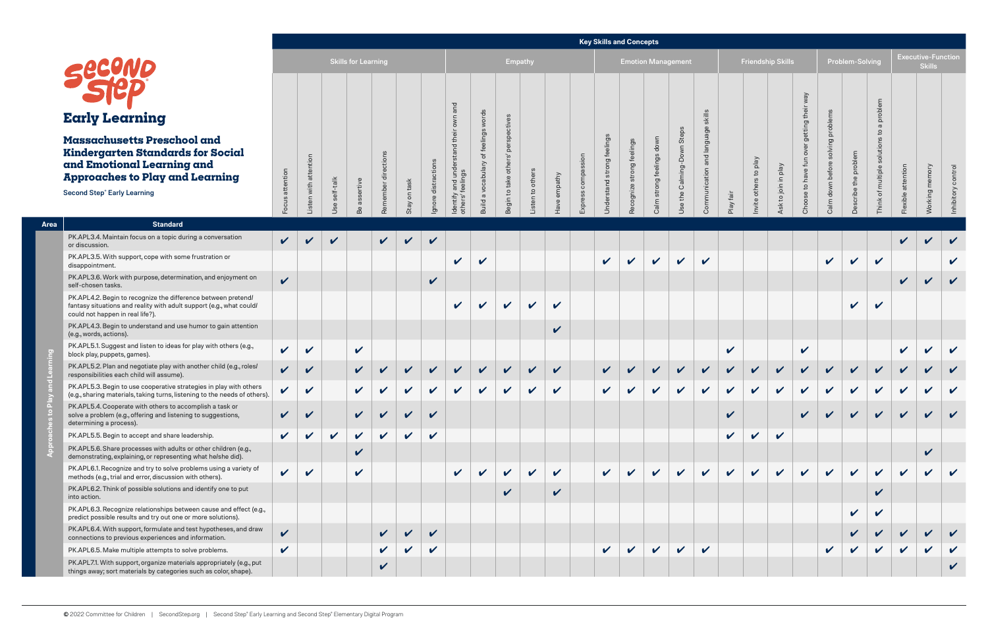|                    |                       |                  | <b>Skills for Learning</b> |                     |              |                     |                                                                        |                                      | <b>Empathy</b>                     |                  |                 | ---                   |                            | المنافيات المنازل والمستويات المنافس والمنافي المنافسات المنافس | - - -<br><b>Emotion Management</b> |                            |                                   |  |
|--------------------|-----------------------|------------------|----------------------------|---------------------|--------------|---------------------|------------------------------------------------------------------------|--------------------------------------|------------------------------------|------------------|-----------------|-----------------------|----------------------------|-----------------------------------------------------------------|------------------------------------|----------------------------|-----------------------------------|--|
| attention<br>Focus | Listen with attention | self-talk<br>Use | assertive<br>Be            | Remember directions | Stay on task | Ignore distractions | and understand their own and<br>feelings<br><b>Identify</b><br>others' | Build a vocabulary of feelings words | Begin to take others' perspectives | Listen to others | empathy<br>Have | compassion<br>Express | Understand strong feelings | strong feelings<br>Recognize                                    | Calm strong feelings down          | Use the Calming-Down Steps | Communication and language skills |  |

|             |                                                                                                                                                                                              |                            |                            |                  |                            |                    |                              |                                         |                                                                                      |                                                              |                                                  |                            |                              |                              | <b>Rey Skills and Concepts</b>   |                                 |                                         |                                         |                            |                        |                           |                                              |                                       |                         |                        |                            |                            |                                            |                            |
|-------------|----------------------------------------------------------------------------------------------------------------------------------------------------------------------------------------------|----------------------------|----------------------------|------------------|----------------------------|--------------------|------------------------------|-----------------------------------------|--------------------------------------------------------------------------------------|--------------------------------------------------------------|--------------------------------------------------|----------------------------|------------------------------|------------------------------|----------------------------------|---------------------------------|-----------------------------------------|-----------------------------------------|----------------------------|------------------------|---------------------------|----------------------------------------------|---------------------------------------|-------------------------|------------------------|----------------------------|----------------------------|--------------------------------------------|----------------------------|
|             |                                                                                                                                                                                              |                            |                            |                  | <b>Skills for Learning</b> |                    |                              |                                         |                                                                                      |                                                              | Empathy                                          |                            |                              |                              |                                  |                                 |                                         | <b>Emotion Management</b>               |                            |                        |                           | Friendship Skills                            |                                       |                         | <b>Problem-Solving</b> |                            |                            | <b>Executive-Function</b><br><b>Skills</b> |                            |
|             |                                                                                                                                                                                              |                            |                            |                  |                            |                    |                              |                                         |                                                                                      |                                                              |                                                  |                            |                              |                              |                                  |                                 |                                         |                                         |                            |                        |                           |                                              | Vew                                   |                         |                        | problem                    |                            |                                            |                            |
|             | <b>Early Learning</b>                                                                                                                                                                        |                            |                            |                  |                            |                    |                              |                                         |                                                                                      |                                                              |                                                  |                            |                              |                              |                                  |                                 |                                         |                                         |                            |                        |                           |                                              | getting the                           | probler                 |                        |                            |                            |                                            |                            |
|             | <b>Massachusetts Preschool and</b><br><b>Kindergarten Standards for Social</b><br>and Emotional Learning and<br><b>Approaches to Play and Learning</b><br><b>Second Step® Early Learning</b> | Focus attention            | attention<br>with<br>isten | self-talk<br>Jse | ertive<br>σ<br>Be          | ctions<br>Remember | task<br>$\mathsf{S}$<br>Stay | ction<br>distra<br>$\mathbb O$<br>lgnor | $\overline{\sigma}$<br>$\overline{5}$<br>g<br>and<br>feelir<br>Identify<br>others' f | feelings<br>৳<br>yabulary<br>yoc<br>$\varpi$<br><b>Build</b> | $\Omega$<br>oth<br>take<br>$\mathtt{S}$<br>Begin | to others<br>ten           | mpathy<br>$\mathbb O$<br>ave | nois<br>comp<br>SS<br>Expres | feelings<br>strong<br>stand<br>Ō | elings<br>strong<br>Recognize s | down<br>feelings<br><b>Buo.</b><br>Calm | Steps<br>Down<br>Calming-<br>the<br>Jse | uage<br>$\mathbf \sigma$   | $\overline{B}$<br>Play | yalq<br>đ<br>oth<br>nvite | Veld<br>$\equiv$<br>to join<br>$\frac{1}{2}$ | $\zeta$<br>$\mathtt{S}$<br><b>Sho</b> | befor<br>down I<br>Calm | the problem            |                            |                            | Working                                    |                            |
| <b>Area</b> | <b>Standard</b>                                                                                                                                                                              |                            |                            |                  |                            |                    |                              |                                         |                                                                                      |                                                              |                                                  |                            |                              |                              |                                  |                                 |                                         |                                         |                            |                        |                           |                                              |                                       |                         |                        |                            |                            |                                            |                            |
|             | PK.APL3.4. Maintain focus on a topic during a conversation<br>or discussion.                                                                                                                 | $\mathbf{v}$               |                            | $\mathbf{v}$     |                            | $\sqrt{ }$         | $\boldsymbol{\nu}$           | $\checkmark$                            |                                                                                      |                                                              |                                                  |                            |                              |                              |                                  |                                 |                                         |                                         |                            |                        |                           |                                              |                                       |                         |                        |                            | $\boldsymbol{\mathcal{U}}$ |                                            |                            |
|             | PK.APL3.5. With support, cope with some frustration or<br>disappointment.                                                                                                                    |                            |                            |                  |                            |                    |                              |                                         | $\boldsymbol{\mathcal{U}}$                                                           | V                                                            |                                                  |                            |                              |                              | $\boldsymbol{\mathcal{U}}$       |                                 | $\checkmark$                            | $\checkmark$                            | $\boldsymbol{\mathcal{U}}$ |                        |                           |                                              |                                       | $\checkmark$            | $\boldsymbol{\nu}$     | $\boldsymbol{\mathcal{U}}$ |                            |                                            | $\boldsymbol{\mathcal{U}}$ |
|             | PK.APL3.6. Work with purpose, determination, and enjoyment on<br>self-chosen tasks.                                                                                                          | $\boldsymbol{\nu}$         |                            |                  |                            |                    |                              | $\checkmark$                            |                                                                                      |                                                              |                                                  |                            |                              |                              |                                  |                                 |                                         |                                         |                            |                        |                           |                                              |                                       |                         |                        |                            | $\boldsymbol{\nu}$         | V                                          | $\boldsymbol{\nu}$         |
|             | PK.APL4.2. Begin to recognize the difference between pretend/<br>fantasy situations and reality with adult support (e.g., what could/<br>could not happen in real life?).                    |                            |                            |                  |                            |                    |                              |                                         | $\boldsymbol{\nu}$                                                                   | V                                                            | $\mathbf{v}$                                     | $\boldsymbol{\mathcal{U}}$ | V                            |                              |                                  |                                 |                                         |                                         |                            |                        |                           |                                              |                                       |                         | $\mathbf{v}$           | $\boldsymbol{\nu}$         |                            |                                            |                            |
|             | PK.APL4.3. Begin to understand and use humor to gain attention<br>(e.g., words, actions).                                                                                                    |                            |                            |                  |                            |                    |                              |                                         |                                                                                      |                                                              |                                                  |                            | V                            |                              |                                  |                                 |                                         |                                         |                            |                        |                           |                                              |                                       |                         |                        |                            |                            |                                            |                            |
|             | PK.APL5.1. Suggest and listen to ideas for play with others (e.g.,<br>block play, puppets, games).                                                                                           | $\checkmark$               | V                          |                  | $\checkmark$               |                    |                              |                                         |                                                                                      |                                                              |                                                  |                            |                              |                              |                                  |                                 |                                         |                                         |                            | $\checkmark$           |                           |                                              | $\checkmark$                          |                         |                        |                            | $\boldsymbol{\mathcal{U}}$ | V                                          | $\boldsymbol{\mathcal{U}}$ |
|             | PK.APL5.2. Plan and negotiate play with another child (e.g., roles/<br>responsibilities each child will assume).                                                                             | $\boldsymbol{\mathcal{U}}$ | $\boldsymbol{\mathcal{U}}$ |                  | $\boldsymbol{\mathcal{U}}$ |                    |                              |                                         |                                                                                      |                                                              |                                                  |                            | V                            |                              |                                  |                                 |                                         |                                         |                            |                        |                           |                                              |                                       |                         |                        | $\boldsymbol{\nu}$         |                            |                                            |                            |
|             | PK.APL5.3. Begin to use cooperative strategies in play with others<br>(e.g., sharing materials, taking turns, listening to the needs of others).                                             |                            | V                          |                  |                            |                    |                              |                                         |                                                                                      |                                                              |                                                  |                            |                              |                              |                                  |                                 |                                         |                                         |                            |                        |                           |                                              |                                       |                         |                        |                            |                            |                                            |                            |
|             | PK.APL5.4. Cooperate with others to accomplish a task or<br>solve a problem (e.g., offering and listening to suggestions,<br>determining a process).                                         |                            |                            |                  |                            |                    |                              |                                         |                                                                                      |                                                              |                                                  |                            |                              |                              |                                  |                                 |                                         |                                         |                            | V                      |                           |                                              |                                       |                         |                        |                            |                            |                                            |                            |
|             | PK.APL5.5. Begin to accept and share leadership.                                                                                                                                             | $\checkmark$               | $\boldsymbol{\mathcal{U}}$ | $\checkmark$     | $\sqrt{2}$                 | $\sqrt{2}$         | $\sqrt{2}$                   | $\checkmark$                            |                                                                                      |                                                              |                                                  |                            |                              |                              |                                  |                                 |                                         |                                         |                            | $\vee$                 | $\mathbf{v}$              | $\checkmark$                                 |                                       |                         |                        |                            |                            |                                            |                            |
|             | PK.APL5.6. Share processes with adults or other children (e.g.,<br>demonstrating, explaining, or representing what he/she did).                                                              |                            |                            |                  | V                          |                    |                              |                                         |                                                                                      |                                                              |                                                  |                            |                              |                              |                                  |                                 |                                         |                                         |                            |                        |                           |                                              |                                       |                         |                        |                            |                            | $\mathbf{v}$                               |                            |
|             | PK.APL6.1. Recognize and try to solve problems using a variety of<br>methods (e.g., trial and error, discussion with others).                                                                | $\boldsymbol{\mathcal{U}}$ | V                          |                  | V                          |                    |                              |                                         | $\boldsymbol{\mathcal{U}}$                                                           |                                                              |                                                  |                            |                              |                              |                                  |                                 |                                         |                                         |                            |                        |                           |                                              |                                       |                         | $\boldsymbol{\nu}$     |                            |                            |                                            |                            |
|             | PK.APL6.2. Think of possible solutions and identify one to put<br>into action.                                                                                                               |                            |                            |                  |                            |                    |                              |                                         |                                                                                      |                                                              | $\boldsymbol{\mathcal{U}}$                       |                            | V                            |                              |                                  |                                 |                                         |                                         |                            |                        |                           |                                              |                                       |                         |                        | $\overline{\mathbf{v}}$    |                            |                                            |                            |
|             | PK.APL6.3. Recognize relationships between cause and effect (e.g.,<br>predict possible results and try out one or more solutions).                                                           |                            |                            |                  |                            |                    |                              |                                         |                                                                                      |                                                              |                                                  |                            |                              |                              |                                  |                                 |                                         |                                         |                            |                        |                           |                                              |                                       |                         | $\mathbf{v}$           | $\boldsymbol{\mathcal{U}}$ |                            |                                            |                            |
|             | PK.APL6.4. With support, formulate and test hypotheses, and draw<br>connections to previous experiences and information.                                                                     | $\boldsymbol{\mathcal{U}}$ |                            |                  |                            |                    |                              |                                         |                                                                                      |                                                              |                                                  |                            |                              |                              |                                  |                                 |                                         |                                         |                            |                        |                           |                                              |                                       |                         |                        |                            |                            |                                            |                            |
|             | PK.APL6.5. Make multiple attempts to solve problems.                                                                                                                                         | V                          |                            |                  |                            | V                  | V                            | $\boldsymbol{\mathcal{U}}$              |                                                                                      |                                                              |                                                  |                            |                              |                              | $\mathbf{v}$                     |                                 | V                                       | $\boldsymbol{\mathcal{U}}$              | $\boldsymbol{\mathcal{U}}$ |                        |                           |                                              |                                       | $\checkmark$            |                        |                            | $\checkmark$               |                                            |                            |
|             | PK.APL7.1. With support, organize materials appropriately (e.g., put<br>things away; sort materials by categories such as color, shape).                                                     |                            |                            |                  |                            | V                  |                              |                                         |                                                                                      |                                                              |                                                  |                            |                              |                              |                                  |                                 |                                         |                                         |                            |                        |                           |                                              |                                       |                         |                        |                            |                            |                                            | $\mathbf v$                |

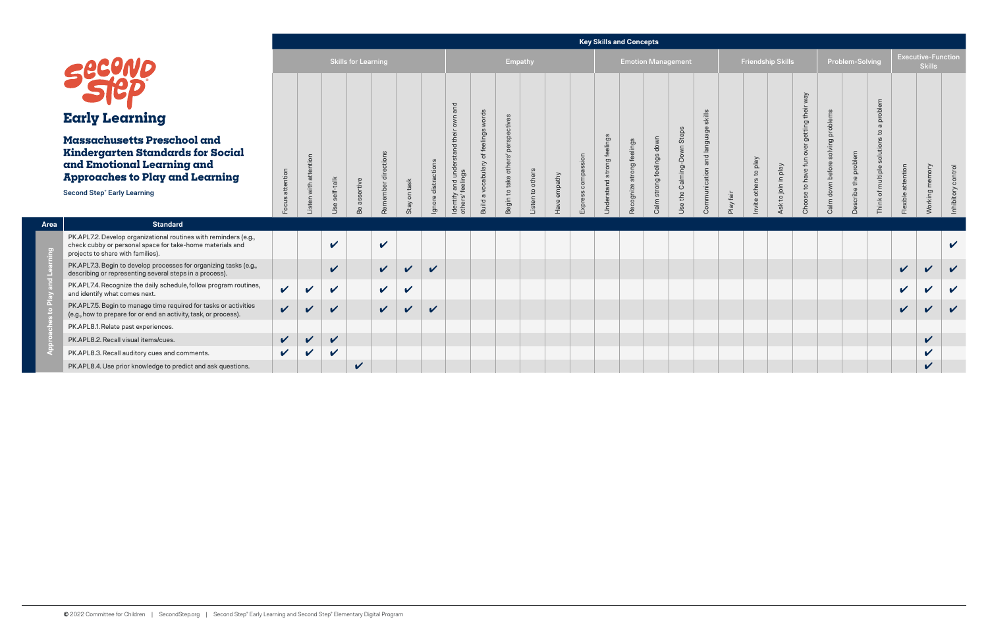# **Early Learning**

## **Massachusetts Preschool and Kindergarten Standards for and Emotional Learning and Approaches to Play and Lea**

**Area a Standard** 

### **Key Skills and Concepts**

|                                                                                                                                                                                            |                 |                            |              |                            |              |                            |              |                  |                                |                                           |                       |        |                  | noy onino and oon                   |                           |                           |                           |                     |      |                          |                 |             |                                   |                      |                     |                   |                                            |              |
|--------------------------------------------------------------------------------------------------------------------------------------------------------------------------------------------|-----------------|----------------------------|--------------|----------------------------|--------------|----------------------------|--------------|------------------|--------------------------------|-------------------------------------------|-----------------------|--------|------------------|-------------------------------------|---------------------------|---------------------------|---------------------------|---------------------|------|--------------------------|-----------------|-------------|-----------------------------------|----------------------|---------------------|-------------------|--------------------------------------------|--------------|
| Sect                                                                                                                                                                                       |                 |                            |              | <b>Skills for Learning</b> |              |                            |              |                  |                                | Empathy                                   |                       |        |                  |                                     |                           |                           | <b>Emotion Management</b> |                     |      | <b>Friendship Skills</b> |                 |             |                                   | Problem-Solving      |                     |                   | <b>Executive-Function</b><br><b>Skills</b> |              |
| <b>Early Learning</b>                                                                                                                                                                      |                 |                            |              |                            |              |                            |              |                  |                                |                                           |                       |        |                  |                                     |                           |                           |                           |                     |      |                          |                 | getting the |                                   |                      | problem<br>$\sigma$ |                   |                                            |              |
| <b>Massachusetts Preschool and</b><br>Kindergarten Standards for Social<br>and Emotional Learning and<br><b>Approaches to Play and Learning</b><br>Second Step <sup>®</sup> Early Learning | Focus attention | attention                  | -talk        | sertive                    | Rememb       | on task                    | distractions | and und<br>ntify | elings<br>vocabula<br>$\sigma$ | $\Omega$<br>oth<br>take<br>$\overline{c}$ | other<br>$\mathbf{S}$ | mpathy | sion<br>āσ<br>SS | elings<br>ق<br>strong<br>Understand | Recognize strong feelings | Calm strong feelings down | Steps<br>the Calming-Down | d langı<br>Communio | fair | to play<br>others        | to join in play | Choose to   | Calm down before solving problems | Describe the problem | of multiple         | Flexible attentio | Working                                    | Inhibitory   |
|                                                                                                                                                                                            |                 |                            |              |                            |              | Stay                       | Ignore       | Iden<br>othe     | <b>Build</b>                   | Begi                                      |                       |        |                  |                                     |                           |                           | Use                       |                     | Play | nvite                    | $\frac{1}{2}$   |             |                                   |                      | Think               |                   |                                            |              |
| <b>Standard</b>                                                                                                                                                                            |                 |                            |              |                            |              |                            |              |                  |                                |                                           |                       |        |                  |                                     |                           |                           |                           |                     |      |                          |                 |             |                                   |                      |                     |                   |                                            |              |
| PK.APL7.2. Develop organizational routines with reminders (e.g.,<br>check cubby or personal space for take-home materials and<br>projects to share with families).                         |                 |                            | $\checkmark$ |                            | $\checkmark$ |                            |              |                  |                                |                                           |                       |        |                  |                                     |                           |                           |                           |                     |      |                          |                 |             |                                   |                      |                     |                   |                                            | $\mathbf v$  |
| PK.APL7.3. Begin to develop processes for organizing tasks (e.g.,<br>describing or representing several steps in a process).                                                               |                 |                            | $\checkmark$ |                            | $\checkmark$ | $\boldsymbol{\mathcal{U}}$ | $\checkmark$ |                  |                                |                                           |                       |        |                  |                                     |                           |                           |                           |                     |      |                          |                 |             |                                   |                      |                     | $\checkmark$      |                                            | $\checkmark$ |
| PK.APL7.4. Recognize the daily schedule, follow program routines,<br>and identify what comes next.                                                                                         | $\checkmark$    | $\checkmark$               | $\checkmark$ |                            | $\checkmark$ | $\checkmark$               |              |                  |                                |                                           |                       |        |                  |                                     |                           |                           |                           |                     |      |                          |                 |             |                                   |                      |                     | $\checkmark$      | $\boldsymbol{\mathcal{U}}$                 | $\checkmark$ |
| PK.APL7.5. Begin to manage time required for tasks or activities<br>(e.g., how to prepare for or end an activity, task, or process).                                                       | $\mathbf{v}$    | $\checkmark$               | $\checkmark$ |                            | $\mathbf{v}$ | $\boldsymbol{\mathcal{U}}$ | $\checkmark$ |                  |                                |                                           |                       |        |                  |                                     |                           |                           |                           |                     |      |                          |                 |             |                                   |                      |                     | $\mathbf v$       | $\boldsymbol{\mathcal{U}}$                 | $\mathbf{v}$ |
| PK.APL8.1. Relate past experiences.                                                                                                                                                        |                 |                            |              |                            |              |                            |              |                  |                                |                                           |                       |        |                  |                                     |                           |                           |                           |                     |      |                          |                 |             |                                   |                      |                     |                   |                                            |              |
| PK.APL8.2. Recall visual items/cues.                                                                                                                                                       | $\checkmark$    | $\boldsymbol{\mathcal{U}}$ | $\checkmark$ |                            |              |                            |              |                  |                                |                                           |                       |        |                  |                                     |                           |                           |                           |                     |      |                          |                 |             |                                   |                      |                     |                   | $\checkmark$                               |              |
| PK.APL8.3. Recall auditory cues and comments.                                                                                                                                              | $\mathbf{v}$    | $\checkmark$               | $\checkmark$ |                            |              |                            |              |                  |                                |                                           |                       |        |                  |                                     |                           |                           |                           |                     |      |                          |                 |             |                                   |                      |                     |                   | $\checkmark$                               |              |
| PK.APL8.4. Use prior knowledge to predict and ask questions.                                                                                                                               |                 |                            |              | $\checkmark$               |              |                            |              |                  |                                |                                           |                       |        |                  |                                     |                           |                           |                           |                     |      |                          |                 |             |                                   |                      |                     |                   | $\checkmark$                               |              |

PK.APL8.4. Use prior knowledge to predict and a

**Approaches to Play and Learning**

F

 $\epsilon$ 

്ല്

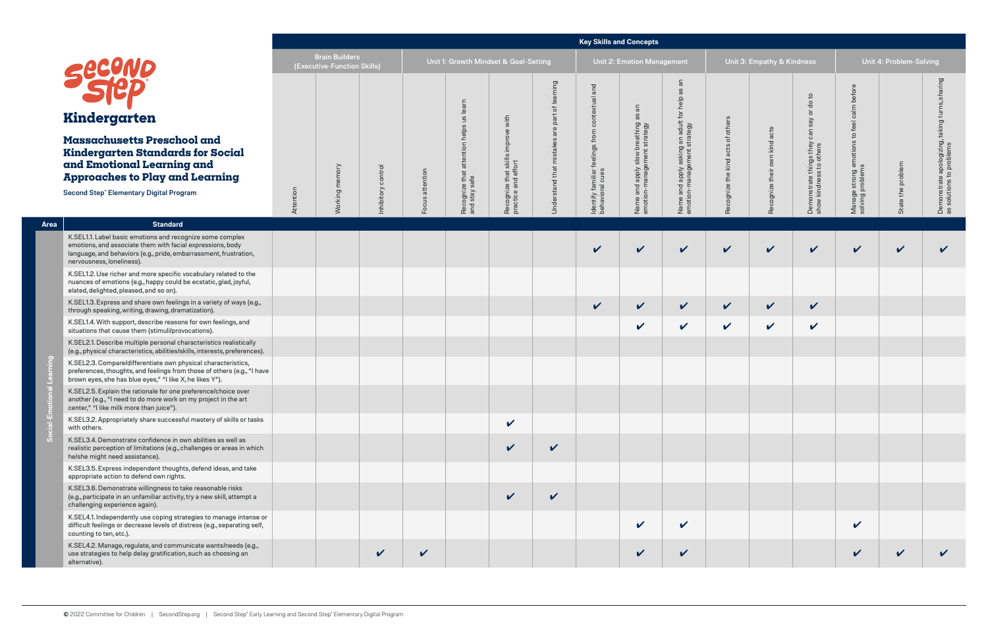|         |                                                                                                                                                                                                                           |           |                                                      |              |              |                                       |                                                         |                                         | <b>Key Skills and Concepts</b>         |                                                          |                                                                        |                                      |                            |                                                 |                                          |                         |                                                                |
|---------|---------------------------------------------------------------------------------------------------------------------------------------------------------------------------------------------------------------------------|-----------|------------------------------------------------------|--------------|--------------|---------------------------------------|---------------------------------------------------------|-----------------------------------------|----------------------------------------|----------------------------------------------------------|------------------------------------------------------------------------|--------------------------------------|----------------------------|-------------------------------------------------|------------------------------------------|-------------------------|----------------------------------------------------------------|
|         |                                                                                                                                                                                                                           |           | <b>Brain Builders</b><br>(Executive-Function Skills) |              |              | Unit 1: Growth Mindset & Goal-Setting |                                                         |                                         |                                        | Unit 2: Emotion Management                               |                                                                        |                                      | Unit 3: Empathy & Kindness |                                                 |                                          | Unit 4: Problem-Solving |                                                                |
|         | Kindergarten                                                                                                                                                                                                              |           |                                                      |              |              | learn<br>9D                           | with                                                    | ning<br>ᡃᡃᡖ<br>ïeq                      | and<br>contextual                      | $\overline{a}$<br>8g                                     | an<br><u>ඝ</u>                                                         |                                      |                            | $\mathbf{c}$<br>응<br>$\overline{\sigma}$<br>say | before<br>calm                           |                         | aring<br>三                                                     |
|         | Massachusetts Preschool and<br><b>Kindergarten Standards for Social</b><br>and Emotional Learning and<br><b>Approaches to Play and Learning</b>                                                                           |           | memory                                               | control      | attention    | attention helps                       | improve<br>Recognize that skills<br>practice and effort | $\omega$<br><b>Jnderstand that mist</b> | feelings from                          | breathing:<br>t strategy<br>apply slow b<br>nanagement : | Name and apply asking an adult for help<br>emotion-management strategy | of others<br>Recognize the kind acts | own kind acts              | can<br>e things they<br>sss to others           | feel<br>$\mathbb{C}^1$<br>emotions<br>Is | State the problem       | taking<br>Demonstrate apologizing,<br>as solutions to problems |
|         | <b>Second Step® Elementary Digital Program</b>                                                                                                                                                                            | Attention | Working                                              | hibitory     | Focus        | Recognize that a<br>and stay safe     |                                                         |                                         | Identify familiar f<br>behavioral cues | and a<br>pn-m<br>Name an<br>emotion-                     |                                                                        |                                      | Recognize their            | Demonstrate t<br>show kindness                  | Manage strong e<br>solving problems      |                         |                                                                |
| Area    | <b>Standard</b>                                                                                                                                                                                                           |           |                                                      |              |              |                                       |                                                         |                                         |                                        |                                                          |                                                                        |                                      |                            |                                                 |                                          |                         |                                                                |
|         | K.SEL1.1. Label basic emotions and recognize some complex<br>emotions, and associate them with facial expressions, body<br>language, and behaviors (e.g., pride, embarrassment, frustration,<br>nervousness, loneliness). |           |                                                      |              |              |                                       |                                                         |                                         | $\boldsymbol{\mathcal{U}}$             | $\checkmark$                                             | $\checkmark$                                                           | $\checkmark$                         | $\mathbf{v}$               | $\checkmark$                                    | $\checkmark$                             | $\checkmark$            | V                                                              |
|         | K.SEL1.2. Use richer and more specific vocabulary related to the<br>nuances of emotions (e.g., happy could be ecstatic, glad, joyful,<br>elated, delighted, pleased, and so on).                                          |           |                                                      |              |              |                                       |                                                         |                                         |                                        |                                                          |                                                                        |                                      |                            |                                                 |                                          |                         |                                                                |
|         | K.SEL1.3. Express and share own feelings in a variety of ways (e.g.,<br>through speaking, writing, drawing, dramatization).                                                                                               |           |                                                      |              |              |                                       |                                                         |                                         | $\checkmark$                           | $\checkmark$                                             | $\checkmark$                                                           | $\checkmark$                         | $\checkmark$               | $\checkmark$                                    |                                          |                         |                                                                |
|         | K.SEL1.4. With support, describe reasons for own feelings, and<br>situations that cause them (stimuli/provocations).                                                                                                      |           |                                                      |              |              |                                       |                                                         |                                         |                                        | $\checkmark$                                             | $\checkmark$                                                           | $\checkmark$                         | $\checkmark$               | $\mathbf v$                                     |                                          |                         |                                                                |
|         | K.SEL2.1. Describe multiple personal characteristics realistically<br>(e.g., physical characteristics, abilities/skills, interests, preferences).                                                                         |           |                                                      |              |              |                                       |                                                         |                                         |                                        |                                                          |                                                                        |                                      |                            |                                                 |                                          |                         |                                                                |
|         | K.SEL2.3. Compare/differentiate own physical characteristics,<br>preferences, thoughts, and feelings from those of others (e.g., "I have<br>brown eyes, she has blue eyes," "I like X, he likes Y").                      |           |                                                      |              |              |                                       |                                                         |                                         |                                        |                                                          |                                                                        |                                      |                            |                                                 |                                          |                         |                                                                |
| $-Emot$ | K.SEL2.5. Explain the rationale for one preference/choice over<br>another (e.g., "I need to do more work on my project in the art<br>center," "I like milk more than juice").                                             |           |                                                      |              |              |                                       |                                                         |                                         |                                        |                                                          |                                                                        |                                      |                            |                                                 |                                          |                         |                                                                |
|         | K.SEL3.2. Appropriately share successful mastery of skills or tasks<br>with others.                                                                                                                                       |           |                                                      |              |              |                                       | $\checkmark$                                            |                                         |                                        |                                                          |                                                                        |                                      |                            |                                                 |                                          |                         |                                                                |
|         | K.SEL3.4. Demonstrate confidence in own abilities as well as<br>realistic perception of limitations (e.g., challenges or areas in which<br>he/she might need assistance).                                                 |           |                                                      |              |              |                                       | $\checkmark$                                            | $\checkmark$                            |                                        |                                                          |                                                                        |                                      |                            |                                                 |                                          |                         |                                                                |
|         | K.SEL3.5. Express independent thoughts, defend ideas, and take<br>appropriate action to defend own rights.                                                                                                                |           |                                                      |              |              |                                       |                                                         |                                         |                                        |                                                          |                                                                        |                                      |                            |                                                 |                                          |                         |                                                                |
|         | K.SEL3.6. Demonstrate willingness to take reasonable risks<br>(e.g., participate in an unfamiliar activity, try a new skill, attempt a<br>challenging experience again).                                                  |           |                                                      |              |              |                                       | $\checkmark$                                            | $\checkmark$                            |                                        |                                                          |                                                                        |                                      |                            |                                                 |                                          |                         |                                                                |
|         | K.SEL4.1. Independently use coping strategies to manage intense or<br>difficult feelings or decrease levels of distress (e.g., separating self,<br>counting to ten, etc.).                                                |           |                                                      |              |              |                                       |                                                         |                                         |                                        | $\checkmark$                                             | $\checkmark$                                                           |                                      |                            |                                                 | $\checkmark$                             |                         |                                                                |
|         | K.SEL4.2. Manage, regulate, and communicate wants/needs (e.g.,<br>use strategies to help delay gratification, such as choosing an<br>alternative).                                                                        |           |                                                      | $\checkmark$ | $\checkmark$ |                                       |                                                         |                                         |                                        | $\checkmark$                                             | V                                                                      |                                      |                            |                                                 | $\checkmark$                             | $\checkmark$            |                                                                |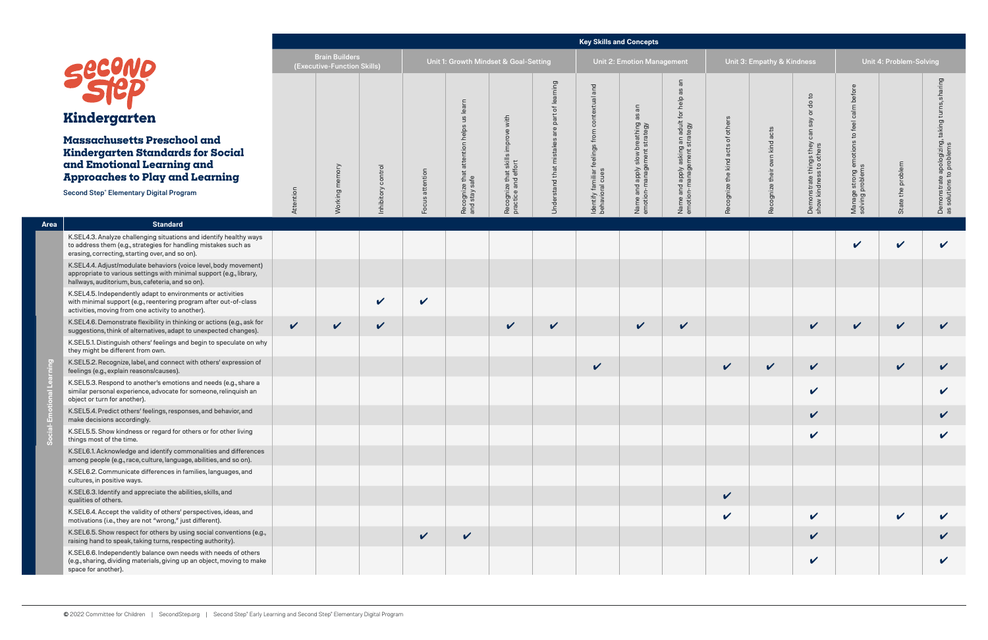|                                                |                                                                                                                                                                                               |              |                                                      |                            |                                   |                                       |                                           |              | <b>Key Skills and Concepts</b>         |                                                                                                          |                                                                  |                          |                                     |                                              |                                                                         |                    |                                 |
|------------------------------------------------|-----------------------------------------------------------------------------------------------------------------------------------------------------------------------------------------------|--------------|------------------------------------------------------|----------------------------|-----------------------------------|---------------------------------------|-------------------------------------------|--------------|----------------------------------------|----------------------------------------------------------------------------------------------------------|------------------------------------------------------------------|--------------------------|-------------------------------------|----------------------------------------------|-------------------------------------------------------------------------|--------------------|---------------------------------|
|                                                | SECOND                                                                                                                                                                                        |              | <b>Brain Builders</b><br>(Executive-Function Skills) |                            |                                   | Unit 1: Growth Mindset & Goal-Setting |                                           |              |                                        | Unit 2: Emotion Management                                                                               |                                                                  |                          | Unit 3: Empathy & Kindness          |                                              | Unit 4: Problem-Solving                                                 |                    |                                 |
|                                                |                                                                                                                                                                                               |              |                                                      |                            |                                   | learn                                 |                                           | puin<br>৳    | and<br>ntextual                        | $\overline{\mathsf{a}}$                                                                                  | 8g                                                               |                          |                                     | $\mathsf{c}$<br>$\sigma$<br>$\overline{a}$   | before<br>calm                                                          |                    | gui                             |
|                                                | Kindergarten                                                                                                                                                                                  |              |                                                      |                            |                                   | $\frac{2}{3}$                         | with                                      |              | 8                                      | 8g                                                                                                       |                                                                  | others                   |                                     | Say                                          | feel                                                                    |                    | taking                          |
|                                                | <b>Massachusetts Preschool and</b><br><b>Kindergarten Standards for Social</b><br>and Emotional Learning and<br><b>Approaches to Play and Learning</b>                                        |              | mory                                                 | control<br>ΟŊ              | ntion<br>atte<br>$\omega$<br>Foci | helps<br>ntion<br>atten<br>that       | ove<br>impro<br>$\stackrel{\circ}{=}$     | that         | feelings from                          | breathing a<br>t strategy<br>slow<br>yldde<br>Aldde<br>$\frac{1}{2}$ and $\frac{1}{2}$<br>Name<br>emotio | asking an adult for help<br>ement strategy<br>e vlqde<br>e vlqde | ð<br>acts<br>kind<br>the | acts<br>kind<br>own<br>ognize their | can<br>they<br>hers<br>things t<br>ss to oth | $\mathsf{c}$<br>। emotions <sup>-</sup><br>१६<br>e strong e<br>problems | the problem        | e apologizing, t<br>to problems |
| <b>Second Step® Elementary Digital Program</b> |                                                                                                                                                                                               | Attention    | Working                                              |                            |                                   | Recognize tha<br>and stay safe        | Recognize that ski<br>practice and effort | stand        | Identify familiar f<br>behavioral cues |                                                                                                          | Name and a<br>emotion-ma                                         | ognize<br>Rec            | Rec                                 | Demonstrate t<br>show kindness               | Manage s<br>solving p                                                   | State              | Demonstrate<br>as solutions to  |
| Area                                           | <b>Standard</b>                                                                                                                                                                               |              |                                                      |                            |                                   |                                       |                                           |              |                                        |                                                                                                          |                                                                  |                          |                                     |                                              |                                                                         |                    |                                 |
|                                                | K.SEL4.3. Analyze challenging situations and identify healthy ways<br>to address them (e.g., strategies for handling mistakes such as<br>erasing, correcting, starting over, and so on).      |              |                                                      |                            |                                   |                                       |                                           |              |                                        |                                                                                                          |                                                                  |                          |                                     |                                              | V                                                                       | $\boldsymbol{\nu}$ |                                 |
|                                                | K.SEL4.4. Adjust/modulate behaviors (voice level, body movement)<br>appropriate to various settings with minimal support (e.g., library,<br>hallways, auditorium, bus, cafeteria, and so on). |              |                                                      |                            |                                   |                                       |                                           |              |                                        |                                                                                                          |                                                                  |                          |                                     |                                              |                                                                         |                    |                                 |
|                                                | K.SEL4.5. Independently adapt to environments or activities<br>with minimal support (e.g., reentering program after out-of-class<br>activities, moving from one activity to another).         |              |                                                      | $\checkmark$               | $\checkmark$                      |                                       |                                           |              |                                        |                                                                                                          |                                                                  |                          |                                     |                                              |                                                                         |                    |                                 |
|                                                | K.SEL4.6. Demonstrate flexibility in thinking or actions (e.g., ask for<br>suggestions, think of alternatives, adapt to unexpected changes).                                                  | $\checkmark$ | $\checkmark$                                         | $\boldsymbol{\mathcal{U}}$ |                                   |                                       | $\checkmark$                              | $\checkmark$ |                                        | $\checkmark$                                                                                             | $\checkmark$                                                     |                          |                                     | $\mathbf v$                                  | $\checkmark$                                                            | $\checkmark$       | $\checkmark$                    |
|                                                | K.SEL5.1. Distinguish others' feelings and begin to speculate on why<br>they might be different from own.                                                                                     |              |                                                      |                            |                                   |                                       |                                           |              |                                        |                                                                                                          |                                                                  |                          |                                     |                                              |                                                                         |                    |                                 |
| $\overline{e}$                                 | K.SEL5.2. Recognize, label, and connect with others' expression of<br>feelings (e.g., explain reasons/causes).                                                                                |              |                                                      |                            |                                   |                                       |                                           |              | $\checkmark$                           |                                                                                                          |                                                                  | $\checkmark$             | $\boldsymbol{\mathcal{U}}$          | $\checkmark$                                 |                                                                         | $\checkmark$       | $\boldsymbol{\mathcal{U}}$      |
|                                                | K.SEL5.3. Respond to another's emotions and needs (e.g., share a<br>similar personal experience, advocate for someone, relinquish an<br>object or turn for another).                          |              |                                                      |                            |                                   |                                       |                                           |              |                                        |                                                                                                          |                                                                  |                          |                                     | $\checkmark$                                 |                                                                         |                    |                                 |
| Emot                                           | K.SEL5.4. Predict others' feelings, responses, and behavior, and<br>make decisions accordingly.                                                                                               |              |                                                      |                            |                                   |                                       |                                           |              |                                        |                                                                                                          |                                                                  |                          |                                     | $\checkmark$                                 |                                                                         |                    | $\boldsymbol{\mathcal{U}}$      |
| Soci                                           | K.SEL5.5. Show kindness or regard for others or for other living<br>things most of the time.                                                                                                  |              |                                                      |                            |                                   |                                       |                                           |              |                                        |                                                                                                          |                                                                  |                          |                                     | $\checkmark$                                 |                                                                         |                    |                                 |
|                                                | K.SEL6.1. Acknowledge and identify commonalities and differences<br>among people (e.g., race, culture, language, abilities, and so on).                                                       |              |                                                      |                            |                                   |                                       |                                           |              |                                        |                                                                                                          |                                                                  |                          |                                     |                                              |                                                                         |                    |                                 |
|                                                | K.SEL6.2. Communicate differences in families, languages, and<br>cultures, in positive ways.                                                                                                  |              |                                                      |                            |                                   |                                       |                                           |              |                                        |                                                                                                          |                                                                  |                          |                                     |                                              |                                                                         |                    |                                 |
|                                                | K.SEL6.3. Identify and appreciate the abilities, skills, and<br>qualities of others.                                                                                                          |              |                                                      |                            |                                   |                                       |                                           |              |                                        |                                                                                                          |                                                                  | $\checkmark$             |                                     |                                              |                                                                         |                    |                                 |
|                                                | K.SEL6.4. Accept the validity of others' perspectives, ideas, and<br>motivations (i.e., they are not "wrong," just different).                                                                |              |                                                      |                            |                                   |                                       |                                           |              |                                        |                                                                                                          |                                                                  | $\checkmark$             |                                     | $\checkmark$                                 |                                                                         | $\checkmark$       |                                 |
|                                                | K.SEL6.5. Show respect for others by using social conventions (e.g.,<br>raising hand to speak, taking turns, respecting authority).                                                           |              |                                                      |                            | $\checkmark$                      | $\checkmark$                          |                                           |              |                                        |                                                                                                          |                                                                  |                          |                                     | $\checkmark$                                 |                                                                         |                    | $\boldsymbol{\mathcal{U}}$      |
|                                                | K.SEL6.6. Independently balance own needs with needs of others<br>(e.g., sharing, dividing materials, giving up an object, moving to make<br>space for another).                              |              |                                                      |                            |                                   |                                       |                                           |              |                                        |                                                                                                          |                                                                  |                          |                                     | $\checkmark$                                 |                                                                         |                    |                                 |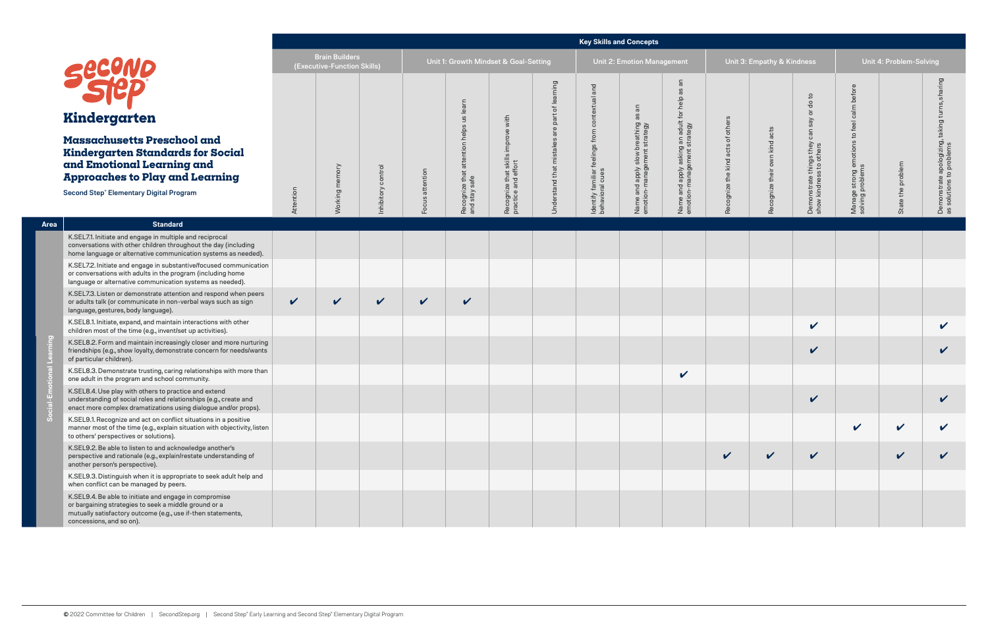|                                                                                                                                                        |                                                                                                                                                                                                             | <b>Key Skills and Concepts</b><br><b>Brain Builders</b><br>Unit 1: Growth Mindset & Goal-Setting |                             |              |              |                                   |                                                         |                        |                                        |                                                              |                                                                   |                            |                               |                                                                        |                                                            |              |                                  |
|--------------------------------------------------------------------------------------------------------------------------------------------------------|-------------------------------------------------------------------------------------------------------------------------------------------------------------------------------------------------------------|--------------------------------------------------------------------------------------------------|-----------------------------|--------------|--------------|-----------------------------------|---------------------------------------------------------|------------------------|----------------------------------------|--------------------------------------------------------------|-------------------------------------------------------------------|----------------------------|-------------------------------|------------------------------------------------------------------------|------------------------------------------------------------|--------------|----------------------------------|
|                                                                                                                                                        | SECUND                                                                                                                                                                                                      |                                                                                                  | (Executive-Function Skills) |              |              |                                   |                                                         |                        |                                        | Unit 2: Emotion Management                                   |                                                                   | Unit 3: Empathy & Kindness |                               |                                                                        | Unit 4: Problem-Solving                                    |              |                                  |
|                                                                                                                                                        |                                                                                                                                                                                                             |                                                                                                  |                             |              |              | learn                             |                                                         | ping                   | and                                    |                                                              | Ξ<br>8g<br>help                                                   |                            |                               | do to                                                                  | before                                                     |              | $\sigma$                         |
|                                                                                                                                                        | Kindergarten                                                                                                                                                                                                |                                                                                                  |                             |              |              |                                   | with                                                    | part<br>$\mathbb O$    | contextual                             | 8g                                                           |                                                                   | others                     |                               | $\overline{\sigma}$<br>say<br>$\mathrel{\mathop{\mathsf{c}}\nolimits}$ | calm<br>feel                                               |              | $\sigma$<br>takin                |
| <b>Massachusetts Preschool and</b><br><b>Kindergarten Standards for Social</b><br>and Emotional Learning and<br><b>Approaches to Play and Learning</b> |                                                                                                                                                                                                             |                                                                                                  | memory                      | control      | attention    | attention helps us                | improve<br>Recognize that skills<br>practice and effort | Understand that mistak | feelings from                          | Name and apply slow breathing<br>emotion-management strategy | Name and apply asking an adult for<br>emotion-management strategy | Recognize the kind acts of | Recognize their own kind acts | ී<br>Demonstrate things they<br>show kindness to others                | $\mathtt{S}$<br>Manage strong emotions<br>solving problems | the problem  | e apologizing, t.<br>to problems |
|                                                                                                                                                        | <b>Second Step® Elementary Digital Program</b>                                                                                                                                                              | Attention                                                                                        | Working I                   | nhibitory    | Focus        | Recognize that a<br>and stay safe |                                                         |                        | Identify familiar f<br>behavioral cues |                                                              |                                                                   |                            |                               |                                                                        |                                                            | State 1      | Demonstrate<br>as solutions to   |
| Area                                                                                                                                                   | <b>Standard</b>                                                                                                                                                                                             |                                                                                                  |                             |              |              |                                   |                                                         |                        |                                        |                                                              |                                                                   |                            |                               |                                                                        |                                                            |              |                                  |
|                                                                                                                                                        | K.SEL7.1. Initiate and engage in multiple and reciprocal<br>conversations with other children throughout the day (including<br>home language or alternative communication systems as needed).               |                                                                                                  |                             |              |              |                                   |                                                         |                        |                                        |                                                              |                                                                   |                            |                               |                                                                        |                                                            |              |                                  |
|                                                                                                                                                        | K.SEL7.2. Initiate and engage in substantive/focused communication<br>or conversations with adults in the program (including home<br>language or alternative communication systems as needed).              |                                                                                                  |                             |              |              |                                   |                                                         |                        |                                        |                                                              |                                                                   |                            |                               |                                                                        |                                                            |              |                                  |
|                                                                                                                                                        | K.SEL7.3. Listen or demonstrate attention and respond when peers<br>or adults talk (or communicate in non-verbal ways such as sign<br>language, gestures, body language).                                   | $\checkmark$                                                                                     | $\checkmark$                | $\checkmark$ | $\checkmark$ | $\checkmark$                      |                                                         |                        |                                        |                                                              |                                                                   |                            |                               |                                                                        |                                                            |              |                                  |
|                                                                                                                                                        | K.SEL8.1. Initiate, expand, and maintain interactions with other<br>children most of the time (e.g., invent/set up activities).                                                                             |                                                                                                  |                             |              |              |                                   |                                                         |                        |                                        |                                                              |                                                                   |                            |                               | $\checkmark$                                                           |                                                            |              | V                                |
|                                                                                                                                                        | K.SEL8.2. Form and maintain increasingly closer and more nurturing<br>friendships (e.g., show loyalty, demonstrate concern for needs/wants<br>of particular children).                                      |                                                                                                  |                             |              |              |                                   |                                                         |                        |                                        |                                                              |                                                                   |                            |                               | $\checkmark$                                                           |                                                            |              | V                                |
|                                                                                                                                                        | K.SEL8.3. Demonstrate trusting, caring relationships with more than<br>one adult in the program and school community.                                                                                       |                                                                                                  |                             |              |              |                                   |                                                         |                        |                                        |                                                              | $\checkmark$                                                      |                            |                               |                                                                        |                                                            |              |                                  |
|                                                                                                                                                        | K.SEL8.4. Use play with others to practice and extend<br>understanding of social roles and relationships (e.g., create and<br>enact more complex dramatizations using dialogue and/or props).               |                                                                                                  |                             |              |              |                                   |                                                         |                        |                                        |                                                              |                                                                   |                            |                               | V                                                                      |                                                            |              |                                  |
|                                                                                                                                                        | K.SEL9.1. Recognize and act on conflict situations in a positive<br>manner most of the time (e.g., explain situation with objectivity, listen<br>to others' perspectives or solutions).                     |                                                                                                  |                             |              |              |                                   |                                                         |                        |                                        |                                                              |                                                                   |                            |                               |                                                                        | $\boldsymbol{\mathcal{U}}$                                 | $\checkmark$ |                                  |
|                                                                                                                                                        | K.SEL9.2. Be able to listen to and acknowledge another's<br>perspective and rationale (e.g., explain/restate understanding of<br>another person's perspective).                                             |                                                                                                  |                             |              |              |                                   |                                                         |                        |                                        |                                                              |                                                                   | $\checkmark$               | $\checkmark$                  | $\checkmark$                                                           |                                                            | $\checkmark$ |                                  |
|                                                                                                                                                        | K.SEL9.3. Distinguish when it is appropriate to seek adult help and<br>when conflict can be managed by peers.                                                                                               |                                                                                                  |                             |              |              |                                   |                                                         |                        |                                        |                                                              |                                                                   |                            |                               |                                                                        |                                                            |              |                                  |
|                                                                                                                                                        | K.SEL9.4. Be able to initiate and engage in compromise<br>or bargaining strategies to seek a middle ground or a<br>mutually satisfactory outcome (e.g., use if-then statements,<br>concessions, and so on). |                                                                                                  |                             |              |              |                                   |                                                         |                        |                                        |                                                              |                                                                   |                            |                               |                                                                        |                                                            |              |                                  |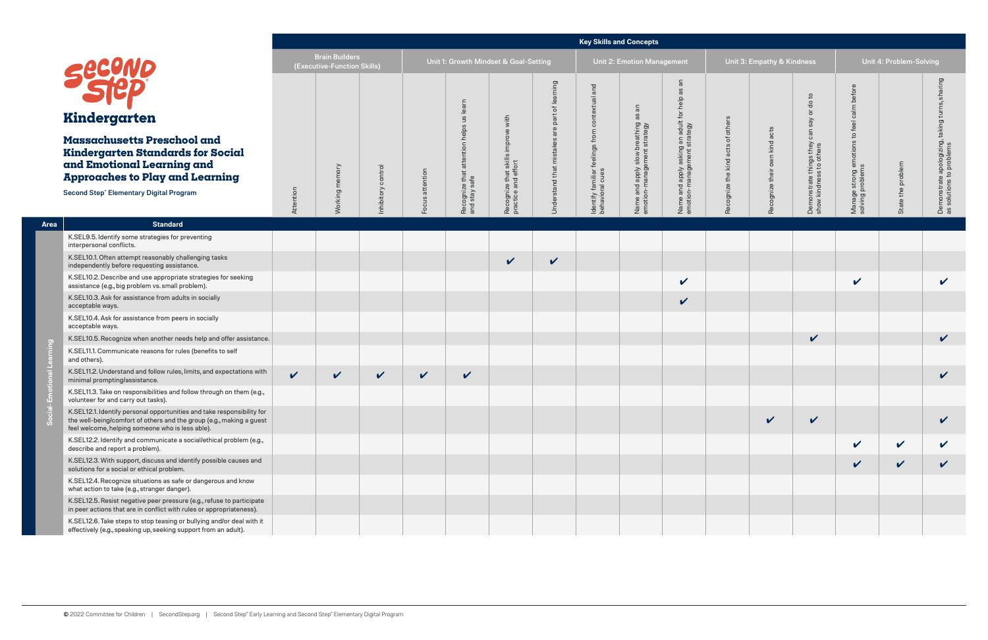|                                                                                                                                                                                                          |                                                                                                                                                                                                    | <b>Key Skills and Concepts</b>                       |              |              |                   |                                       |                                                         |                                    |                                        |                                                              |                                                                   |                                      |                                  |                                                           |                                                              |                           |                                                               |
|----------------------------------------------------------------------------------------------------------------------------------------------------------------------------------------------------------|----------------------------------------------------------------------------------------------------------------------------------------------------------------------------------------------------|------------------------------------------------------|--------------|--------------|-------------------|---------------------------------------|---------------------------------------------------------|------------------------------------|----------------------------------------|--------------------------------------------------------------|-------------------------------------------------------------------|--------------------------------------|----------------------------------|-----------------------------------------------------------|--------------------------------------------------------------|---------------------------|---------------------------------------------------------------|
|                                                                                                                                                                                                          |                                                                                                                                                                                                    | <b>Brain Builders</b><br>(Executive-Function Skills) |              |              |                   | Unit 1: Growth Mindset & Goal-Setting |                                                         |                                    |                                        | <b>Unit 2: Emotion Management</b>                            |                                                                   | Unit 3: Empathy & Kindness           |                                  |                                                           | Unit 4: Problem-Solving                                      |                           |                                                               |
|                                                                                                                                                                                                          |                                                                                                                                                                                                    |                                                      |              |              |                   | learn                                 |                                                         | puin<br>ቴ                          | and                                    | $\overline{a}$                                               | æ<br>help                                                         |                                      |                                  | $\overline{c}$<br>$\rm ^o$                                | before                                                       |                           |                                                               |
|                                                                                                                                                                                                          | Kindergarten                                                                                                                                                                                       |                                                      |              |              |                   | 9n                                    | with                                                    | rar<br>$\mathbf \Phi$              |                                        | 8g                                                           |                                                                   |                                      |                                  | $\overline{\sigma}$<br>say                                | calm<br>feel                                                 |                           | $\sigma$                                                      |
| <b>Massachusetts Preschool and</b><br><b>Kindergarten Standards for Social</b><br>and Emotional Learning and<br><b>Approaches to Play and Learning</b><br><b>Second Step® Elementary Digital Program</b> |                                                                                                                                                                                                    |                                                      | memory       | control      | attention         | attention helps                       | improve<br>Recognize that skills<br>practice and effort | $\omega$<br>Understand that mistak | feelings from contextual               | Name and apply slow breathing<br>emotion-management strategy | Name and apply asking an adult for<br>emotion-management strategy | of others<br>Recognize the kind acts | own kind acts<br>Recognize their | can<br>Demonstrate things they<br>show kindness to others | $\mathbb{S}^1$<br>Manage strong emotions<br>solving problems | problem                   | takin<br>Demonstrate apologizing,<br>as solutions to problems |
|                                                                                                                                                                                                          |                                                                                                                                                                                                    | Attention                                            | Working      | Inhibitory   | $\omega$<br>Focus | Recognize that a<br>and stay safe     |                                                         |                                    | Identify familiar f<br>behavioral cues |                                                              |                                                                   |                                      |                                  |                                                           |                                                              | the<br>State <sup>-</sup> |                                                               |
| Area                                                                                                                                                                                                     | <b>Standard</b>                                                                                                                                                                                    |                                                      |              |              |                   |                                       |                                                         |                                    |                                        |                                                              |                                                                   |                                      |                                  |                                                           |                                                              |                           |                                                               |
|                                                                                                                                                                                                          | K.SEL9.5. Identify some strategies for preventing<br>interpersonal conflicts.                                                                                                                      |                                                      |              |              |                   |                                       |                                                         |                                    |                                        |                                                              |                                                                   |                                      |                                  |                                                           |                                                              |                           |                                                               |
|                                                                                                                                                                                                          | K.SEL10.1. Often attempt reasonably challenging tasks<br>independently before requesting assistance.                                                                                               |                                                      |              |              |                   |                                       | $\checkmark$                                            | $\checkmark$                       |                                        |                                                              |                                                                   |                                      |                                  |                                                           |                                                              |                           |                                                               |
|                                                                                                                                                                                                          | K.SEL10.2. Describe and use appropriate strategies for seeking<br>assistance (e.g., big problem vs. small problem).                                                                                |                                                      |              |              |                   |                                       |                                                         |                                    |                                        |                                                              | $\checkmark$                                                      |                                      |                                  |                                                           | V                                                            |                           | $\boldsymbol{\nu}$                                            |
|                                                                                                                                                                                                          | K.SEL10.3. Ask for assistance from adults in socially<br>acceptable ways.                                                                                                                          |                                                      |              |              |                   |                                       |                                                         |                                    |                                        |                                                              | $\checkmark$                                                      |                                      |                                  |                                                           |                                                              |                           |                                                               |
|                                                                                                                                                                                                          | K.SEL10.4. Ask for assistance from peers in socially<br>acceptable ways.                                                                                                                           |                                                      |              |              |                   |                                       |                                                         |                                    |                                        |                                                              |                                                                   |                                      |                                  |                                                           |                                                              |                           |                                                               |
| $\overline{c}$                                                                                                                                                                                           | K.SEL10.5. Recognize when another needs help and offer assistance.                                                                                                                                 |                                                      |              |              |                   |                                       |                                                         |                                    |                                        |                                                              |                                                                   |                                      |                                  | $\checkmark$                                              |                                                              |                           | $\checkmark$                                                  |
|                                                                                                                                                                                                          | K.SEL11.1. Communicate reasons for rules (benefits to self<br>and others).                                                                                                                         |                                                      |              |              |                   |                                       |                                                         |                                    |                                        |                                                              |                                                                   |                                      |                                  |                                                           |                                                              |                           |                                                               |
|                                                                                                                                                                                                          | K.SEL11.2. Understand and follow rules, limits, and expectations with<br>minimal prompting/assistance.                                                                                             | $\checkmark$                                         | $\checkmark$ | $\checkmark$ | $\checkmark$      | $\checkmark$                          |                                                         |                                    |                                        |                                                              |                                                                   |                                      |                                  |                                                           |                                                              |                           | V                                                             |
|                                                                                                                                                                                                          | K.SEL11.3. Take on responsibilities and follow through on them (e.g.,<br>volunteer for and carry out tasks).                                                                                       |                                                      |              |              |                   |                                       |                                                         |                                    |                                        |                                                              |                                                                   |                                      |                                  |                                                           |                                                              |                           |                                                               |
|                                                                                                                                                                                                          | K.SEL12.1. Identify personal opportunities and take responsibility for<br>the well-being/comfort of others and the group (e.g., making a guest<br>feel welcome, helping someone who is less able). |                                                      |              |              |                   |                                       |                                                         |                                    |                                        |                                                              |                                                                   |                                      | $\checkmark$                     | $\checkmark$                                              |                                                              |                           | V                                                             |
|                                                                                                                                                                                                          | K.SEL12.2. Identify and communicate a social/ethical problem (e.g.,<br>describe and report a problem).                                                                                             |                                                      |              |              |                   |                                       |                                                         |                                    |                                        |                                                              |                                                                   |                                      |                                  |                                                           | V                                                            | $\mathbf v$               | V                                                             |
|                                                                                                                                                                                                          | K.SEL12.3. With support, discuss and identify possible causes and<br>solutions for a social or ethical problem.                                                                                    |                                                      |              |              |                   |                                       |                                                         |                                    |                                        |                                                              |                                                                   |                                      |                                  |                                                           | $\checkmark$                                                 | $\sqrt{ }$                | $\checkmark$                                                  |
|                                                                                                                                                                                                          | K.SEL12.4. Recognize situations as safe or dangerous and know<br>what action to take (e.g., stranger danger).                                                                                      |                                                      |              |              |                   |                                       |                                                         |                                    |                                        |                                                              |                                                                   |                                      |                                  |                                                           |                                                              |                           |                                                               |
|                                                                                                                                                                                                          | K.SEL12.5. Resist negative peer pressure (e.g., refuse to participate<br>in peer actions that are in conflict with rules or appropriateness).                                                      |                                                      |              |              |                   |                                       |                                                         |                                    |                                        |                                                              |                                                                   |                                      |                                  |                                                           |                                                              |                           |                                                               |
|                                                                                                                                                                                                          | K.SEL12.6. Take steps to stop teasing or bullying and/or deal with it<br>effectively (e.g., speaking up, seeking support from an adult).                                                           |                                                      |              |              |                   |                                       |                                                         |                                    |                                        |                                                              |                                                                   |                                      |                                  |                                                           |                                                              |                           |                                                               |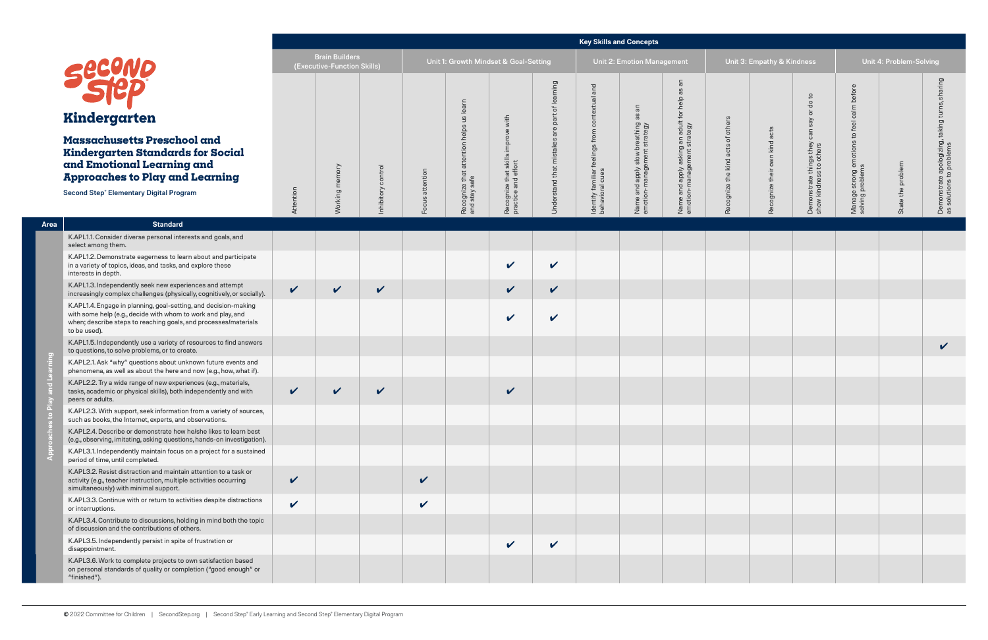|                                         |                                                                                                                                                                                                                    | <b>Key Skills and Concepts</b>                       |              |                     |              |                                                      |                                                             |                                           |                                                         |                                                              |                                                                        |                                      |                                  |                                                           |                                                                      |                         |                                                                |
|-----------------------------------------|--------------------------------------------------------------------------------------------------------------------------------------------------------------------------------------------------------------------|------------------------------------------------------|--------------|---------------------|--------------|------------------------------------------------------|-------------------------------------------------------------|-------------------------------------------|---------------------------------------------------------|--------------------------------------------------------------|------------------------------------------------------------------------|--------------------------------------|----------------------------------|-----------------------------------------------------------|----------------------------------------------------------------------|-------------------------|----------------------------------------------------------------|
|                                         |                                                                                                                                                                                                                    | <b>Brain Builders</b><br>(Executive-Function Skills) |              |                     |              | Unit 1: Growth Mindset & Goal-Setting                |                                                             |                                           |                                                         | Unit 2: Emotion Management                                   |                                                                        |                                      | Unit 3: Empathy & Kindness       |                                                           |                                                                      | Unit 4: Problem-Solving |                                                                |
|                                         | secono<br>Kindergarten                                                                                                                                                                                             |                                                      |              |                     |              | us learn                                             | with                                                        | puing<br>σ<br>ቴ<br>ïed                    | and<br>contextual                                       | $\overline{a}$<br>8g                                         | an<br>8g                                                               |                                      |                                  | $\mathsf{c}$<br>$\rm ^o$<br>$\overline{5}$<br>Say         | before<br>calm                                                       |                         | aring<br>$\frac{1}{5}$                                         |
|                                         | <b>Massachusetts Preschool and</b><br>Kindergarten Standards for Social<br>and Emotional Learning and<br><b>Approaches to Play and Learning</b><br><b>Second Step® Elementary Digital Program</b>                  |                                                      | memory       | control<br>hibitory | attention    | attention helps<br>Recognize that a<br>and stay safe | improve<br>ഗ<br>Recognize that skill<br>practice and effort | $\mathbf \Phi$<br>Understand that mistake | feelings from<br>Identify familiar f<br>behavioral cues | Name and apply slow breathing<br>emotion-management strategy | Name and apply asking an adult for help<br>emotion-management strategy | others<br>Recognize the kind acts of | own kind acts<br>Recognize their | can<br>Demonstrate things they<br>show kindness to others | feel<br>$\overline{c}$<br>Manage strong emotions<br>solving problems | State the problem       | taking<br>Demonstrate apologizing,<br>as solutions to problems |
|                                         |                                                                                                                                                                                                                    | Attention                                            | Working r    |                     | snoc.        |                                                      |                                                             |                                           |                                                         |                                                              |                                                                        |                                      |                                  |                                                           |                                                                      |                         |                                                                |
| Area                                    | <b>Standard</b>                                                                                                                                                                                                    |                                                      |              |                     |              |                                                      |                                                             |                                           |                                                         |                                                              |                                                                        |                                      |                                  |                                                           |                                                                      |                         |                                                                |
|                                         | K.APL1.1. Consider diverse personal interests and goals, and<br>select among them.                                                                                                                                 |                                                      |              |                     |              |                                                      |                                                             |                                           |                                                         |                                                              |                                                                        |                                      |                                  |                                                           |                                                                      |                         |                                                                |
|                                         | K.APL1.2. Demonstrate eagerness to learn about and participate<br>in a variety of topics, ideas, and tasks, and explore these<br>interests in depth.                                                               |                                                      |              |                     |              |                                                      | $\checkmark$                                                | $\checkmark$                              |                                                         |                                                              |                                                                        |                                      |                                  |                                                           |                                                                      |                         |                                                                |
|                                         | K.APL1.3. Independently seek new experiences and attempt<br>increasingly complex challenges (physically, cognitively, or socially).                                                                                | $\checkmark$                                         | $\checkmark$ | $\checkmark$        |              |                                                      | $\checkmark$                                                | $\checkmark$                              |                                                         |                                                              |                                                                        |                                      |                                  |                                                           |                                                                      |                         |                                                                |
|                                         | K.APL1.4. Engage in planning, goal-setting, and decision-making<br>with some help (e.g., decide with whom to work and play, and<br>when; describe steps to reaching goals, and processes/materials<br>to be used). |                                                      |              |                     |              |                                                      | $\mathbf v$                                                 | $\mathbf v$                               |                                                         |                                                              |                                                                        |                                      |                                  |                                                           |                                                                      |                         |                                                                |
|                                         | K.APL1.5. Independently use a variety of resources to find answers<br>to questions, to solve problems, or to create.                                                                                               |                                                      |              |                     |              |                                                      |                                                             |                                           |                                                         |                                                              |                                                                        |                                      |                                  |                                                           |                                                                      |                         | V                                                              |
| puin                                    | K.APL2.1. Ask "why" questions about unknown future events and<br>phenomena, as well as about the here and now (e.g., how, what if).                                                                                |                                                      |              |                     |              |                                                      |                                                             |                                           |                                                         |                                                              |                                                                        |                                      |                                  |                                                           |                                                                      |                         |                                                                |
|                                         | K.APL2.2. Try a wide range of new experiences (e.g., materials,<br>tasks, academic or physical skills), both independently and with<br>peers or adults.                                                            | $\checkmark$                                         | V            | V                   |              |                                                      | $\boldsymbol{\mathcal{U}}$                                  |                                           |                                                         |                                                              |                                                                        |                                      |                                  |                                                           |                                                                      |                         |                                                                |
| $\overline{\mathbf{a}}$<br>$\mathbf{e}$ | K.APL2.3. With support, seek information from a variety of sources,<br>such as books, the Internet, experts, and observations.                                                                                     |                                                      |              |                     |              |                                                      |                                                             |                                           |                                                         |                                                              |                                                                        |                                      |                                  |                                                           |                                                                      |                         |                                                                |
|                                         | K.APL2.4. Describe or demonstrate how he/she likes to learn best<br>(e.g., observing, imitating, asking questions, hands-on investigation).                                                                        |                                                      |              |                     |              |                                                      |                                                             |                                           |                                                         |                                                              |                                                                        |                                      |                                  |                                                           |                                                                      |                         |                                                                |
| App                                     | K.APL3.1. Independently maintain focus on a project for a sustained<br>period of time, until completed.                                                                                                            |                                                      |              |                     |              |                                                      |                                                             |                                           |                                                         |                                                              |                                                                        |                                      |                                  |                                                           |                                                                      |                         |                                                                |
|                                         | K.APL3.2. Resist distraction and maintain attention to a task or<br>activity (e.g., teacher instruction, multiple activities occurring<br>simultaneously) with minimal support.                                    | $\checkmark$                                         |              |                     | $\mathbf v$  |                                                      |                                                             |                                           |                                                         |                                                              |                                                                        |                                      |                                  |                                                           |                                                                      |                         |                                                                |
|                                         | K.APL3.3. Continue with or return to activities despite distractions<br>or interruptions.                                                                                                                          | $\checkmark$                                         |              |                     | $\checkmark$ |                                                      |                                                             |                                           |                                                         |                                                              |                                                                        |                                      |                                  |                                                           |                                                                      |                         |                                                                |
|                                         | K.APL3.4. Contribute to discussions, holding in mind both the topic<br>of discussion and the contributions of others.                                                                                              |                                                      |              |                     |              |                                                      |                                                             |                                           |                                                         |                                                              |                                                                        |                                      |                                  |                                                           |                                                                      |                         |                                                                |
|                                         | K.APL3.5. Independently persist in spite of frustration or<br>disappointment.                                                                                                                                      |                                                      |              |                     |              |                                                      | $\checkmark$                                                | $\checkmark$                              |                                                         |                                                              |                                                                        |                                      |                                  |                                                           |                                                                      |                         |                                                                |
|                                         | K.APL3.6. Work to complete projects to own satisfaction based<br>on personal standards of quality or completion ("good enough" or<br>"finished").                                                                  |                                                      |              |                     |              |                                                      |                                                             |                                           |                                                         |                                                              |                                                                        |                                      |                                  |                                                           |                                                                      |                         |                                                                |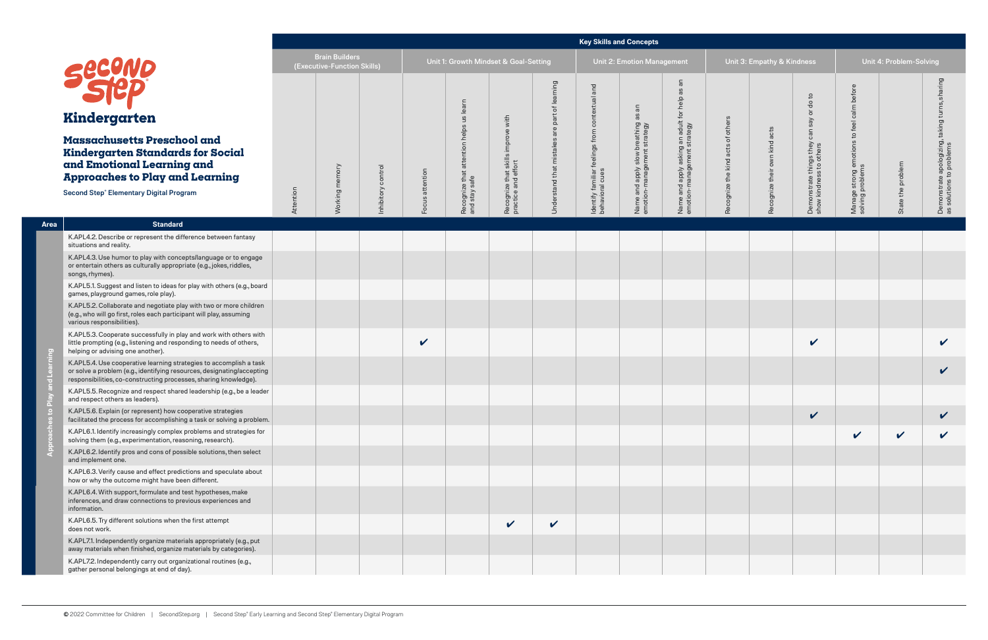|              |                                                                                                                                                                                                                  | <b>Key Skills and Concepts</b><br><b>Brain Builders</b><br>Unit 1: Growth Mindset & Goal-Setting |                             |                   |                 |                                                      |                                                           |                                            |                                                                    |                                                              |                                                                        |                                   |                               |                                                                  |                                                                   |                   |                                                                |
|--------------|------------------------------------------------------------------------------------------------------------------------------------------------------------------------------------------------------------------|--------------------------------------------------------------------------------------------------|-----------------------------|-------------------|-----------------|------------------------------------------------------|-----------------------------------------------------------|--------------------------------------------|--------------------------------------------------------------------|--------------------------------------------------------------|------------------------------------------------------------------------|-----------------------------------|-------------------------------|------------------------------------------------------------------|-------------------------------------------------------------------|-------------------|----------------------------------------------------------------|
|              |                                                                                                                                                                                                                  |                                                                                                  | (Executive-Function Skills) |                   |                 |                                                      |                                                           |                                            |                                                                    | Unit 2: Emotion Management                                   |                                                                        |                                   | Unit 3: Empathy & Kindness    |                                                                  | Unit 4: Problem-Solving                                           |                   |                                                                |
|              | <b>secono</b><br>Kindergarten                                                                                                                                                                                    |                                                                                                  |                             |                   |                 | learn<br>9n                                          |                                                           | rning<br>lea<br>눙.<br>part                 | and                                                                | $\overline{\overline{\overline{\sigma}}}$<br>8g              | $\overline{a}$<br><u>ඝ</u>                                             |                                   |                               | $\mathsf{c}$<br>$\rm ^o$<br>$\overline{5}$                       | before<br>calm                                                    |                   | aring<br>클                                                     |
|              | Massachusetts Preschool and<br>Kindergarten Standards for Social<br>and Emotional Learning and<br><b>Approaches to Play and Learning</b><br><b>Second Step® Elementary Digital Program</b>                       |                                                                                                  | Working memory              | nhibitory control | Focus attention | attention helps<br>Recognize that a<br>and stay safe | Recognize that skills improve with<br>practice and effort | are<br>ဖ<br><b>Jnderstand that mistake</b> | feelings from contextual<br>Identify familiar f<br>behavioral cues | Name and apply slow breathing<br>emotion-management strategy | Name and apply asking an adult for help<br>emotion-management strategy | Recognize the kind acts of others | Recognize their own kind acts | Say<br>can<br>Demonstrate things they<br>show kindness to others | j emotions to feel c<br>ns<br>Manage strong e<br>solving problems | State the problem | taking<br>Demonstrate apologizing,<br>as solutions to problems |
|              |                                                                                                                                                                                                                  |                                                                                                  |                             |                   |                 |                                                      |                                                           |                                            |                                                                    |                                                              |                                                                        |                                   |                               |                                                                  |                                                                   |                   |                                                                |
| Area         | <b>Standard</b>                                                                                                                                                                                                  |                                                                                                  |                             |                   |                 |                                                      |                                                           |                                            |                                                                    |                                                              |                                                                        |                                   |                               |                                                                  |                                                                   |                   |                                                                |
|              | K.APL4.2. Describe or represent the difference between fantasy<br>situations and reality.                                                                                                                        |                                                                                                  |                             |                   |                 |                                                      |                                                           |                                            |                                                                    |                                                              |                                                                        |                                   |                               |                                                                  |                                                                   |                   |                                                                |
|              | K.APL4.3. Use humor to play with concepts/language or to engage<br>or entertain others as culturally appropriate (e.g., jokes, riddles,<br>songs, rhymes).                                                       |                                                                                                  |                             |                   |                 |                                                      |                                                           |                                            |                                                                    |                                                              |                                                                        |                                   |                               |                                                                  |                                                                   |                   |                                                                |
|              | K.APL5.1. Suggest and listen to ideas for play with others (e.g., board<br>games, playground games, role play).                                                                                                  |                                                                                                  |                             |                   |                 |                                                      |                                                           |                                            |                                                                    |                                                              |                                                                        |                                   |                               |                                                                  |                                                                   |                   |                                                                |
|              | K.APL5.2. Collaborate and negotiate play with two or more children<br>(e.g., who will go first, roles each participant will play, assuming<br>various responsibilities).                                         |                                                                                                  |                             |                   |                 |                                                      |                                                           |                                            |                                                                    |                                                              |                                                                        |                                   |                               |                                                                  |                                                                   |                   |                                                                |
| $\epsilon$   | K.APL5.3. Cooperate successfully in play and work with others with<br>little prompting (e.g., listening and responding to needs of others,<br>helping or advising one another).                                  |                                                                                                  |                             |                   | $\checkmark$    |                                                      |                                                           |                                            |                                                                    |                                                              |                                                                        |                                   |                               | $\checkmark$                                                     |                                                                   |                   | V                                                              |
|              | K.APL5.4. Use cooperative learning strategies to accomplish a task<br>or solve a problem (e.g., identifying resources, designating/accepting<br>responsibilities, co-constructing processes, sharing knowledge). |                                                                                                  |                             |                   |                 |                                                      |                                                           |                                            |                                                                    |                                                              |                                                                        |                                   |                               |                                                                  |                                                                   |                   | V                                                              |
|              | K.APL5.5. Recognize and respect shared leadership (e.g., be a leader<br>and respect others as leaders).                                                                                                          |                                                                                                  |                             |                   |                 |                                                      |                                                           |                                            |                                                                    |                                                              |                                                                        |                                   |                               |                                                                  |                                                                   |                   |                                                                |
| $\mathbf{e}$ | K.APL5.6. Explain (or represent) how cooperative strategies<br>facilitated the process for accomplishing a task or solving a problem.                                                                            |                                                                                                  |                             |                   |                 |                                                      |                                                           |                                            |                                                                    |                                                              |                                                                        |                                   |                               | $\checkmark$                                                     |                                                                   |                   |                                                                |
|              | K.APL6.1. Identify increasingly complex problems and strategies for<br>solving them (e.g., experimentation, reasoning, research).                                                                                |                                                                                                  |                             |                   |                 |                                                      |                                                           |                                            |                                                                    |                                                              |                                                                        |                                   |                               |                                                                  | V                                                                 | $\checkmark$      | V                                                              |
|              | K.APL6.2. Identify pros and cons of possible solutions, then select<br>and implement one.                                                                                                                        |                                                                                                  |                             |                   |                 |                                                      |                                                           |                                            |                                                                    |                                                              |                                                                        |                                   |                               |                                                                  |                                                                   |                   |                                                                |
|              | K.APL6.3. Verify cause and effect predictions and speculate about<br>how or why the outcome might have been different.                                                                                           |                                                                                                  |                             |                   |                 |                                                      |                                                           |                                            |                                                                    |                                                              |                                                                        |                                   |                               |                                                                  |                                                                   |                   |                                                                |
|              | K.APL6.4. With support, formulate and test hypotheses, make<br>inferences, and draw connections to previous experiences and<br>information.                                                                      |                                                                                                  |                             |                   |                 |                                                      |                                                           |                                            |                                                                    |                                                              |                                                                        |                                   |                               |                                                                  |                                                                   |                   |                                                                |
|              | K.APL6.5. Try different solutions when the first attempt<br>does not work.                                                                                                                                       |                                                                                                  |                             |                   |                 |                                                      | $\checkmark$                                              | $\checkmark$                               |                                                                    |                                                              |                                                                        |                                   |                               |                                                                  |                                                                   |                   |                                                                |
|              | K.APL7.1. Independently organize materials appropriately (e.g., put<br>away materials when finished, organize materials by categories).                                                                          |                                                                                                  |                             |                   |                 |                                                      |                                                           |                                            |                                                                    |                                                              |                                                                        |                                   |                               |                                                                  |                                                                   |                   |                                                                |
|              | K.APL7.2. Independently carry out organizational routines (e.g.,<br>gather personal belongings at end of day).                                                                                                   |                                                                                                  |                             |                   |                 |                                                      |                                                           |                                            |                                                                    |                                                              |                                                                        |                                   |                               |                                                                  |                                                                   |                   |                                                                |